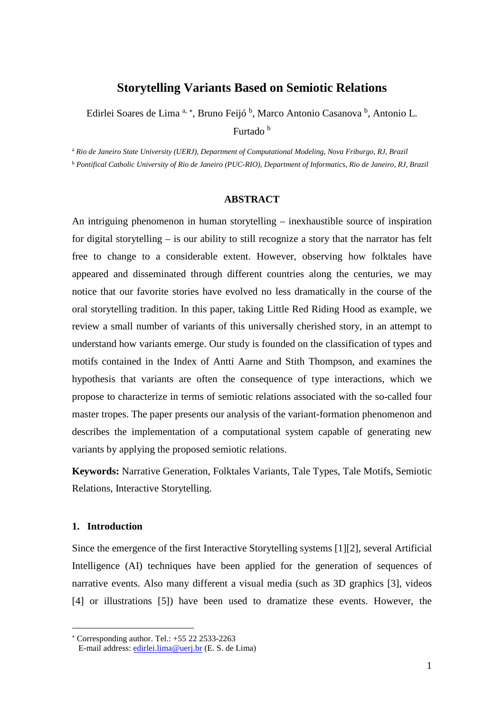# **Storytelling Variants Based on Semiotic Relations**

Edirlei Soares de Lima<sup>a, \*</sup>, Bruno Feijó <sup>b</sup>, Marco Antonio Casanova <sup>b</sup>, Antonio L. Furtado <sup>b</sup>

<sup>a</sup> *Rio de Janeiro State University (UERJ), Department of Computational Modeling, Nova Friburgo, RJ, Brazil* <sup>b</sup> *Pontifical Catholic University of Rio de Janeiro (PUC-RIO), Department of Informatics, Rio de Janeiro, RJ, Brazil*

#### **ABSTRACT**

An intriguing phenomenon in human storytelling – inexhaustible source of inspiration for digital storytelling – is our ability to still recognize a story that the narrator has felt free to change to a considerable extent. However, observing how folktales have appeared and disseminated through different countries along the centuries, we may notice that our favorite stories have evolved no less dramatically in the course of the oral storytelling tradition. In this paper, taking Little Red Riding Hood as example, we review a small number of variants of this universally cherished story, in an attempt to understand how variants emerge. Our study is founded on the classification of types and motifs contained in the Index of Antti Aarne and Stith Thompson, and examines the hypothesis that variants are often the consequence of type interactions, which we propose to characterize in terms of semiotic relations associated with the so-called four master tropes. The paper presents our analysis of the variant-formation phenomenon and describes the implementation of a computational system capable of generating new variants by applying the proposed semiotic relations.

**Keywords:** Narrative Generation, Folktales Variants, Tale Types, Tale Motifs, Semiotic Relations, Interactive Storytelling.

# **1. Introduction**

-

Since the emergence of the first Interactive Storytelling systems [\[1\]](#page-32-0)[\[2\],](#page-32-1) several Artificial Intelligence (AI) techniques have been applied for the generation of sequences of narrative events. Also many different a visual media (such as 3D graphics [\[3\],](#page-32-2) videos [\[4\]](#page-32-3) or illustrations [\[5\]\)](#page-33-0) have been used to dramatize these events. However, the

<span id="page-0-0"></span><sup>∗</sup> Corresponding author. Tel.: +55 22 2533-2263

E-mail address: [edirlei.lima@uerj.br](mailto:edirlei.lima@uerj.br) (E. S. de Lima)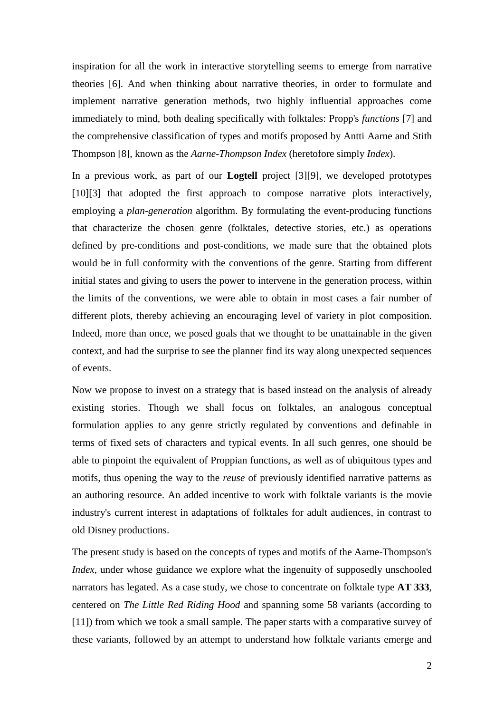inspiration for all the work in interactive storytelling seems to emerge from narrative theories [\[6\].](#page-33-1) And when thinking about narrative theories, in order to formulate and implement narrative generation methods, two highly influential approaches come immediately to mind, both dealing specifically with folktales: Propp's *functions* [\[7\]](#page-33-2) and the comprehensive classification of types and motifs proposed by Antti Aarne and Stith Thompson [\[8\],](#page-33-3) known as the *Aarne-Thompson Index* (heretofore simply *Index*).

In a previous work, as part of our **Logtell** project [\[3\]](#page-32-2)[\[9\],](#page-33-4) we developed prototypes [\[10\]](#page-33-5)[\[3\]](#page-32-2) that adopted the first approach to compose narrative plots interactively, employing a *plan-generation* algorithm. By formulating the event-producing functions that characterize the chosen genre (folktales, detective stories, etc.) as operations defined by pre-conditions and post-conditions, we made sure that the obtained plots would be in full conformity with the conventions of the genre. Starting from different initial states and giving to users the power to intervene in the generation process, within the limits of the conventions, we were able to obtain in most cases a fair number of different plots, thereby achieving an encouraging level of variety in plot composition. Indeed, more than once, we posed goals that we thought to be unattainable in the given context, and had the surprise to see the planner find its way along unexpected sequences of events.

Now we propose to invest on a strategy that is based instead on the analysis of already existing stories. Though we shall focus on folktales, an analogous conceptual formulation applies to any genre strictly regulated by conventions and definable in terms of fixed sets of characters and typical events. In all such genres, one should be able to pinpoint the equivalent of Proppian functions, as well as of ubiquitous types and motifs, thus opening the way to the *reuse* of previously identified narrative patterns as an authoring resource. An added incentive to work with folktale variants is the movie industry's current interest in adaptations of folktales for adult audiences, in contrast to old Disney productions.

The present study is based on the concepts of types and motifs of the Aarne-Thompson's *Index*, under whose guidance we explore what the ingenuity of supposedly unschooled narrators has legated. As a case study, we chose to concentrate on folktale type **AT 333**, centered on *The Little Red Riding Hood* and spanning some 58 variants (according to [\[11\]\)](#page-33-6) from which we took a small sample. The paper starts with a comparative survey of these variants, followed by an attempt to understand how folktale variants emerge and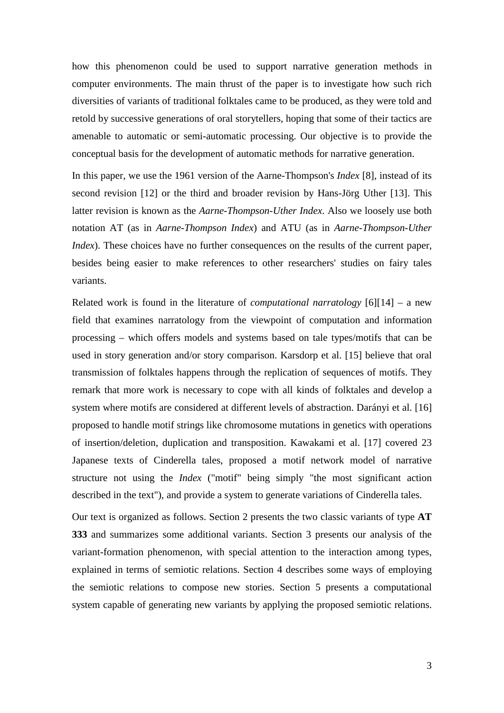how this phenomenon could be used to support narrative generation methods in computer environments. The main thrust of the paper is to investigate how such rich diversities of variants of traditional folktales came to be produced, as they were told and retold by successive generations of oral storytellers, hoping that some of their tactics are amenable to automatic or semi-automatic processing. Our objective is to provide the conceptual basis for the development of automatic methods for narrative generation.

In this paper, we use the 1961 version of the Aarne-Thompson's *Index* [\[8\],](#page-33-3) instead of its second revision [\[12\]](#page-33-7) or the third and broader revision by Hans-Jörg Uther [\[13\].](#page-33-8) This latter revision is known as the *Aarne-Thompson-Uther Index*. Also we loosely use both notation AT (as in *Aarne-Thompson Index*) and ATU (as in *Aarne-Thompson-Uther Index*). These choices have no further consequences on the results of the current paper, besides being easier to make references to other researchers' studies on fairy tales variants.

Related work is found in the literature of *computational narratology* [\[6\]](#page-33-1)[\[14\]](#page-33-9) – a new field that examines narratology from the viewpoint of computation and information processing – which offers models and systems based on tale types/motifs that can be used in story generation and/or story comparison. Karsdorp et al. [\[15\]](#page-33-10) believe that oral transmission of folktales happens through the replication of sequences of motifs. They remark that more work is necessary to cope with all kinds of folktales and develop a system where motifs are considered at different levels of abstraction. Darányi et al. [\[16\]](#page-33-11) proposed to handle motif strings like chromosome mutations in genetics with operations of insertion/deletion, duplication and transposition. Kawakami et al. [\[17\]](#page-33-12) covered 23 Japanese texts of Cinderella tales, proposed a motif network model of narrative structure not using the *Index* ("motif" being simply "the most significant action described in the text"), and provide a system to generate variations of Cinderella tales.

Our text is organized as follows. Section 2 presents the two classic variants of type **AT 333** and summarizes some additional variants. Section 3 presents our analysis of the variant-formation phenomenon, with special attention to the interaction among types, explained in terms of semiotic relations. Section 4 describes some ways of employing the semiotic relations to compose new stories. Section 5 presents a computational system capable of generating new variants by applying the proposed semiotic relations.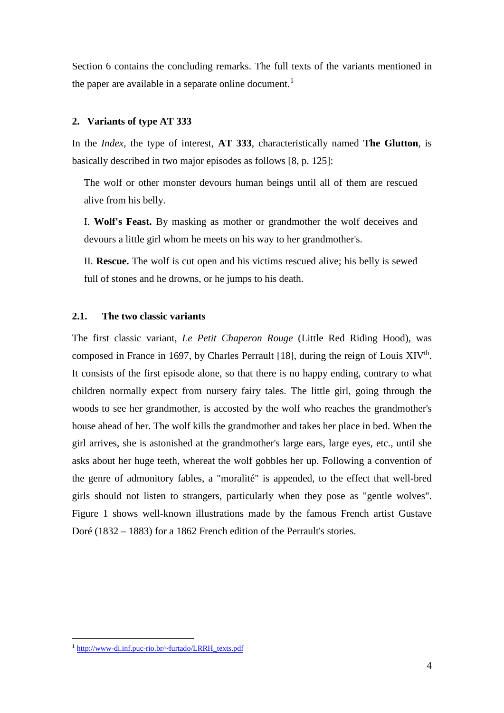Section 6 contains the concluding remarks. The full texts of the variants mentioned in the paper are available in a separate online document.<sup>[1](#page-3-0)</sup>

# **2. Variants of type AT 333**

In the *Index*, the type of interest, **AT 333**, characteristically named **The Glutton**, is basically described in two major episodes as follows [8, p. 125]:

The wolf or other monster devours human beings until all of them are rescued alive from his belly.

I. **Wolf's Feast.** By masking as mother or grandmother the wolf deceives and devours a little girl whom he meets on his way to her grandmother's.

II. **Rescue.** The wolf is cut open and his victims rescued alive; his belly is sewed full of stones and he drowns, or he jumps to his death.

# **2.1. The two classic variants**

The first classic variant, *Le Petit Chaperon Rouge* (Little Red Riding Hood), was composed in France in 1697, by Charles Perrault [\[18\],](#page-34-0) during the reign of Louis XIV<sup>th</sup>. It consists of the first episode alone, so that there is no happy ending, contrary to what children normally expect from nursery fairy tales. The little girl, going through the woods to see her grandmother, is accosted by the wolf who reaches the grandmother's house ahead of her. The wolf kills the grandmother and takes her place in bed. When the girl arrives, she is astonished at the grandmother's large ears, large eyes, etc., until she asks about her huge teeth, whereat the wolf gobbles her up. Following a convention of the genre of admonitory fables, a "moralité" is appended, to the effect that well-bred girls should not listen to strangers, particularly when they pose as "gentle wolves". Figure 1 shows well-known illustrations made by the famous French artist Gustave Doré (1832 – 1883) for a 1862 French edition of the Perrault's stories.

<span id="page-3-0"></span><sup>&</sup>lt;sup>1</sup> [http://www-di.inf.puc-rio.br/~furtado/LRRH\\_texts.pdf](http://www-di.inf.puc-rio.br/%7Efurtado/LRRH_texts.pdf)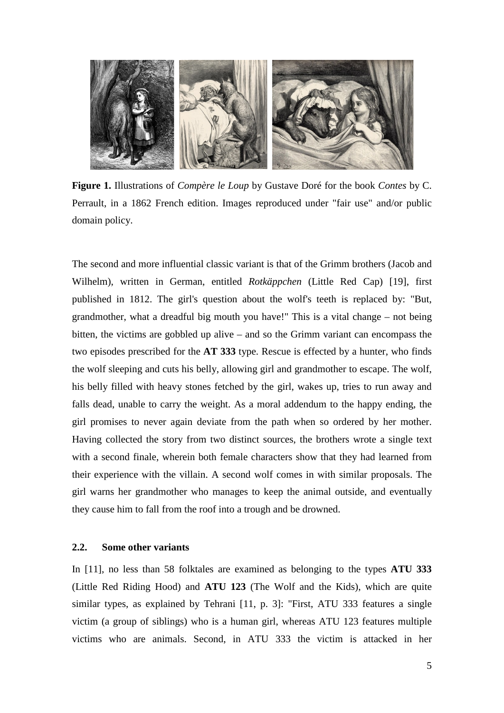

**Figure 1.** Illustrations of *Compère le Loup* by Gustave Doré for the book *Contes* by C. Perrault, in a 1862 French edition. Images reproduced under "fair use" and/or public domain policy.

The second and more influential classic variant is that of the Grimm brothers (Jacob and Wilhelm), written in German, entitled *Rotkäppchen* (Little Red Cap) [\[19\],](#page-34-1) first published in 1812. The girl's question about the wolf's teeth is replaced by: "But, grandmother, what a dreadful big mouth you have!" This is a vital change – not being bitten, the victims are gobbled up alive – and so the Grimm variant can encompass the two episodes prescribed for the **AT 333** type. Rescue is effected by a hunter, who finds the wolf sleeping and cuts his belly, allowing girl and grandmother to escape. The wolf, his belly filled with heavy stones fetched by the girl, wakes up, tries to run away and falls dead, unable to carry the weight. As a moral addendum to the happy ending, the girl promises to never again deviate from the path when so ordered by her mother. Having collected the story from two distinct sources, the brothers wrote a single text with a second finale, wherein both female characters show that they had learned from their experience with the villain. A second wolf comes in with similar proposals. The girl warns her grandmother who manages to keep the animal outside, and eventually they cause him to fall from the roof into a trough and be drowned.

# **2.2. Some other variants**

In [\[11\],](#page-33-6) no less than 58 folktales are examined as belonging to the types **ATU 333** (Little Red Riding Hood) and **ATU 123** (The Wolf and the Kids), which are quite similar types, as explained by Tehrani [11, p. 3]: "First, ATU 333 features a single victim (a group of siblings) who is a human girl, whereas ATU 123 features multiple victims who are animals. Second, in ATU 333 the victim is attacked in her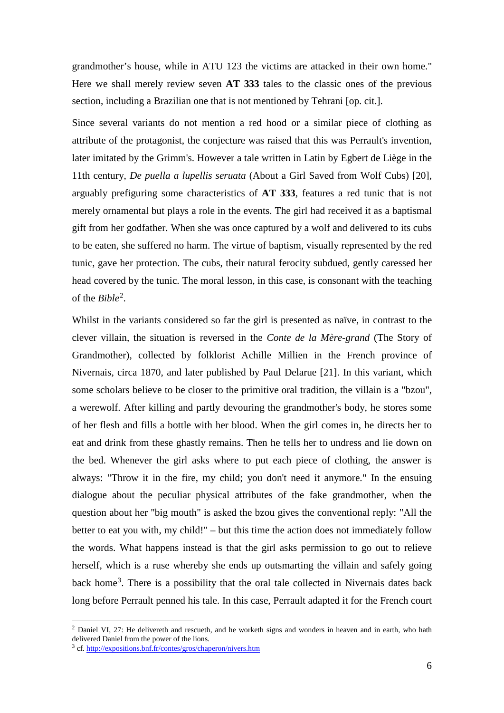grandmother's house, while in ATU 123 the victims are attacked in their own home." Here we shall merely review seven **AT 333** tales to the classic ones of the previous section, including a Brazilian one that is not mentioned by Tehrani [op. cit.].

Since several variants do not mention a red hood or a similar piece of clothing as attribute of the protagonist, the conjecture was raised that this was Perrault's invention, later imitated by the Grimm's. However a tale written in Latin by Egbert de Liège in the 11th century, *De puella a lupellis seruata* (About a Girl Saved from Wolf Cubs) [\[20\],](#page-34-2) arguably prefiguring some characteristics of **AT 333**, features a red tunic that is not merely ornamental but plays a role in the events. The girl had received it as a baptismal gift from her godfather. When she was once captured by a wolf and delivered to its cubs to be eaten, she suffered no harm. The virtue of baptism, visually represented by the red tunic, gave her protection. The cubs, their natural ferocity subdued, gently caressed her head covered by the tunic. The moral lesson, in this case, is consonant with the teaching of the *Bible*[2](#page-5-0) .

Whilst in the variants considered so far the girl is presented as naïve, in contrast to the clever villain, the situation is reversed in the *Conte de la Mère-grand* (The Story of Grandmother), collected by folklorist Achille Millien in the French province of Nivernais, circa 1870, and later published by Paul Delarue [\[21\].](#page-34-3) In this variant, which some scholars believe to be closer to the primitive oral tradition, the villain is a "bzou", a werewolf. After killing and partly devouring the grandmother's body, he stores some of her flesh and fills a bottle with her blood. When the girl comes in, he directs her to eat and drink from these ghastly remains. Then he tells her to undress and lie down on the bed. Whenever the girl asks where to put each piece of clothing, the answer is always: "Throw it in the fire, my child; you don't need it anymore." In the ensuing dialogue about the peculiar physical attributes of the fake grandmother, when the question about her "big mouth" is asked the bzou gives the conventional reply: "All the better to eat you with, my child!" – but this time the action does not immediately follow the words. What happens instead is that the girl asks permission to go out to relieve herself, which is a ruse whereby she ends up outsmarting the villain and safely going back home<sup>[3](#page-5-1)</sup>. There is a possibility that the oral tale collected in Nivernais dates back long before Perrault penned his tale. In this case, Perrault adapted it for the French court

<span id="page-5-0"></span><sup>&</sup>lt;sup>2</sup> Daniel VI, 27: He delivereth and rescueth, and he worketh signs and wonders in heaven and in earth, who hath delivered Daniel from the power of the lions.

<span id="page-5-1"></span><sup>&</sup>lt;sup>3</sup> cf.<http://expositions.bnf.fr/contes/gros/chaperon/nivers.htm>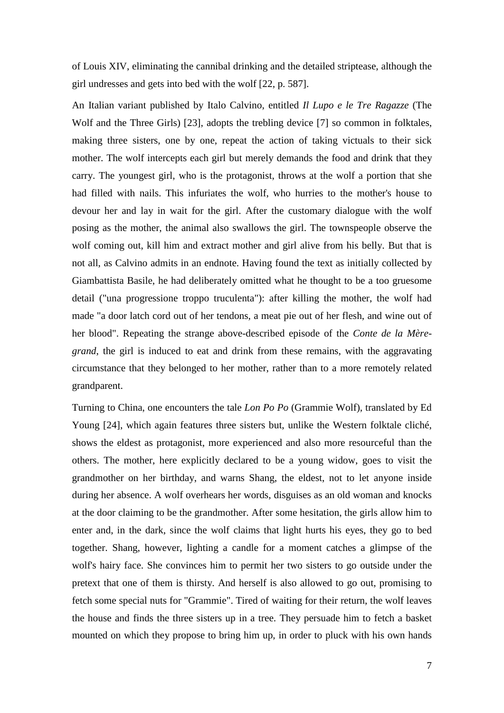of Louis XIV, eliminating the cannibal drinking and the detailed striptease, although the girl undresses and gets into bed with the wolf [22, p. 587].

An Italian variant published by Italo Calvino, entitled *Il Lupo e le Tre Ragazze* (The Wolf and the Three Girls) [\[23\],](#page-34-4) adopts the trebling device [\[7\]](#page-33-2) so common in folktales, making three sisters, one by one, repeat the action of taking victuals to their sick mother. The wolf intercepts each girl but merely demands the food and drink that they carry. The youngest girl, who is the protagonist, throws at the wolf a portion that she had filled with nails. This infuriates the wolf, who hurries to the mother's house to devour her and lay in wait for the girl. After the customary dialogue with the wolf posing as the mother, the animal also swallows the girl. The townspeople observe the wolf coming out, kill him and extract mother and girl alive from his belly. But that is not all, as Calvino admits in an endnote. Having found the text as initially collected by Giambattista Basile, he had deliberately omitted what he thought to be a too gruesome detail ("una progressione troppo truculenta"): after killing the mother, the wolf had made "a door latch cord out of her tendons, a meat pie out of her flesh, and wine out of her blood". Repeating the strange above-described episode of the *Conte de la Mèregrand*, the girl is induced to eat and drink from these remains, with the aggravating circumstance that they belonged to her mother, rather than to a more remotely related grandparent.

Turning to China, one encounters the tale *Lon Po Po* (Grammie Wolf), translated by Ed Young [\[24\],](#page-34-5) which again features three sisters but, unlike the Western folktale cliché, shows the eldest as protagonist, more experienced and also more resourceful than the others. The mother, here explicitly declared to be a young widow, goes to visit the grandmother on her birthday, and warns Shang, the eldest, not to let anyone inside during her absence. A wolf overhears her words, disguises as an old woman and knocks at the door claiming to be the grandmother. After some hesitation, the girls allow him to enter and, in the dark, since the wolf claims that light hurts his eyes, they go to bed together. Shang, however, lighting a candle for a moment catches a glimpse of the wolf's hairy face. She convinces him to permit her two sisters to go outside under the pretext that one of them is thirsty. And herself is also allowed to go out, promising to fetch some special nuts for "Grammie". Tired of waiting for their return, the wolf leaves the house and finds the three sisters up in a tree. They persuade him to fetch a basket mounted on which they propose to bring him up, in order to pluck with his own hands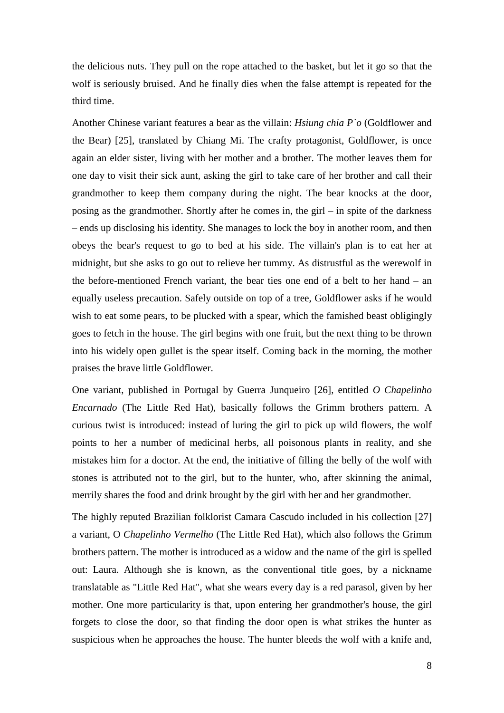the delicious nuts. They pull on the rope attached to the basket, but let it go so that the wolf is seriously bruised. And he finally dies when the false attempt is repeated for the third time.

Another Chinese variant features a bear as the villain: *Hsiung chia P`o* (Goldflower and the Bear) [\[25\],](#page-34-6) translated by Chiang Mi. The crafty protagonist, Goldflower, is once again an elder sister, living with her mother and a brother. The mother leaves them for one day to visit their sick aunt, asking the girl to take care of her brother and call their grandmother to keep them company during the night. The bear knocks at the door, posing as the grandmother. Shortly after he comes in, the girl – in spite of the darkness – ends up disclosing his identity. She manages to lock the boy in another room, and then obeys the bear's request to go to bed at his side. The villain's plan is to eat her at midnight, but she asks to go out to relieve her tummy. As distrustful as the werewolf in the before-mentioned French variant, the bear ties one end of a belt to her hand – an equally useless precaution. Safely outside on top of a tree, Goldflower asks if he would wish to eat some pears, to be plucked with a spear, which the famished beast obligingly goes to fetch in the house. The girl begins with one fruit, but the next thing to be thrown into his widely open gullet is the spear itself. Coming back in the morning, the mother praises the brave little Goldflower.

One variant, published in Portugal by Guerra Junqueiro [\[26\],](#page-34-7) entitled *O Chapelinho Encarnado* (The Little Red Hat), basically follows the Grimm brothers pattern. A curious twist is introduced: instead of luring the girl to pick up wild flowers, the wolf points to her a number of medicinal herbs, all poisonous plants in reality, and she mistakes him for a doctor. At the end, the initiative of filling the belly of the wolf with stones is attributed not to the girl, but to the hunter, who, after skinning the animal, merrily shares the food and drink brought by the girl with her and her grandmother.

The highly reputed Brazilian folklorist Camara Cascudo included in his collection [\[27\]](#page-34-8) a variant, O *Chapelinho Vermelho* (The Little Red Hat), which also follows the Grimm brothers pattern. The mother is introduced as a widow and the name of the girl is spelled out: Laura. Although she is known, as the conventional title goes, by a nickname translatable as "Little Red Hat", what she wears every day is a red parasol, given by her mother. One more particularity is that, upon entering her grandmother's house, the girl forgets to close the door, so that finding the door open is what strikes the hunter as suspicious when he approaches the house. The hunter bleeds the wolf with a knife and,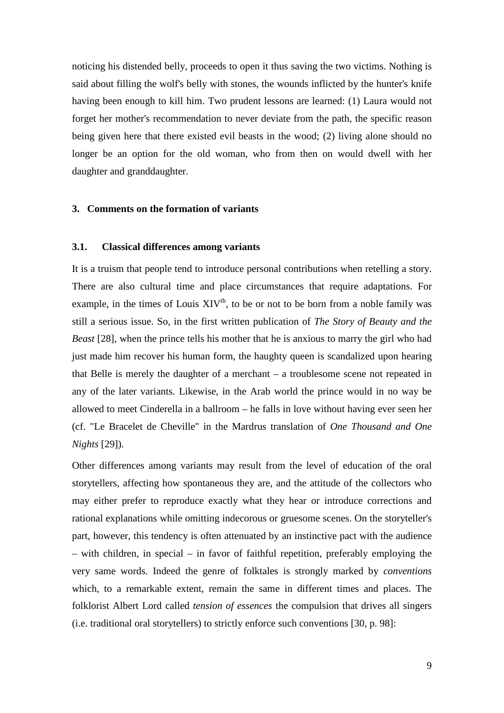noticing his distended belly, proceeds to open it thus saving the two victims. Nothing is said about filling the wolf's belly with stones, the wounds inflicted by the hunter's knife having been enough to kill him. Two prudent lessons are learned: (1) Laura would not forget her mother's recommendation to never deviate from the path, the specific reason being given here that there existed evil beasts in the wood; (2) living alone should no longer be an option for the old woman, who from then on would dwell with her daughter and granddaughter.

## **3. Comments on the formation of variants**

# **3.1. Classical differences among variants**

It is a truism that people tend to introduce personal contributions when retelling a story. There are also cultural time and place circumstances that require adaptations. For example, in the times of Louis  $XIV<sup>th</sup>$ , to be or not to be born from a noble family was still a serious issue. So, in the first written publication of *The Story of Beauty and the Beast* [\[28\],](#page-34-9) when the prince tells his mother that he is anxious to marry the girl who had just made him recover his human form, the haughty queen is scandalized upon hearing that Belle is merely the daughter of a merchant – a troublesome scene not repeated in any of the later variants. Likewise, in the Arab world the prince would in no way be allowed to meet Cinderella in a ballroom – he falls in love without having ever seen her (cf. "Le Bracelet de Cheville" in the Mardrus translation of *One Thousand and One Nights* [\[29\]\)](#page-34-10).

Other differences among variants may result from the level of education of the oral storytellers, affecting how spontaneous they are, and the attitude of the collectors who may either prefer to reproduce exactly what they hear or introduce corrections and rational explanations while omitting indecorous or gruesome scenes. On the storyteller's part, however, this tendency is often attenuated by an instinctive pact with the audience – with children, in special – in favor of faithful repetition, preferably employing the very same words. Indeed the genre of folktales is strongly marked by *conventions* which, to a remarkable extent, remain the same in different times and places. The folklorist Albert Lord called *tension of essences* the compulsion that drives all singers (i.e. traditional oral storytellers) to strictly enforce such conventions [30, p. 98]: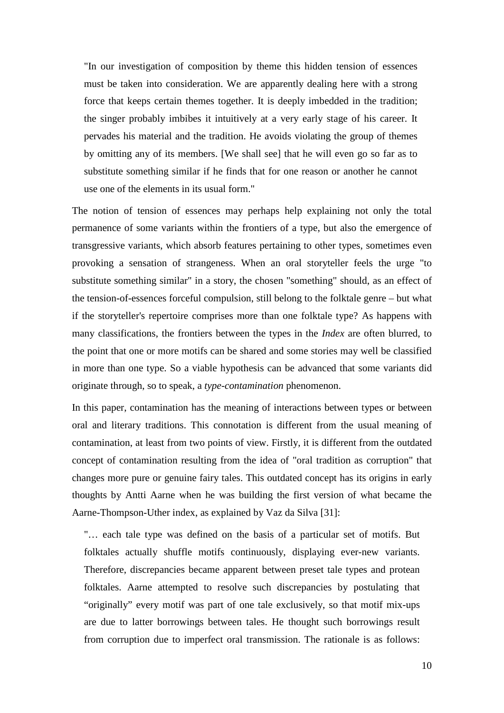"In our investigation of composition by theme this hidden tension of essences must be taken into consideration. We are apparently dealing here with a strong force that keeps certain themes together. It is deeply imbedded in the tradition; the singer probably imbibes it intuitively at a very early stage of his career. It pervades his material and the tradition. He avoids violating the group of themes by omitting any of its members. [We shall see] that he will even go so far as to substitute something similar if he finds that for one reason or another he cannot use one of the elements in its usual form."

The notion of tension of essences may perhaps help explaining not only the total permanence of some variants within the frontiers of a type, but also the emergence of transgressive variants, which absorb features pertaining to other types, sometimes even provoking a sensation of strangeness. When an oral storyteller feels the urge "to substitute something similar" in a story, the chosen "something" should, as an effect of the tension-of-essences forceful compulsion, still belong to the folktale genre – but what if the storyteller's repertoire comprises more than one folktale type? As happens with many classifications, the frontiers between the types in the *Index* are often blurred, to the point that one or more motifs can be shared and some stories may well be classified in more than one type. So a viable hypothesis can be advanced that some variants did originate through, so to speak, a *type-contamination* phenomenon.

In this paper, contamination has the meaning of interactions between types or between oral and literary traditions. This connotation is different from the usual meaning of contamination, at least from two points of view. Firstly, it is different from the outdated concept of contamination resulting from the idea of "oral tradition as corruption" that changes more pure or genuine fairy tales. This outdated concept has its origins in early thoughts by Antti Aarne when he was building the first version of what became the Aarne-Thompson-Uther index, as explained by Vaz da Silva [\[31\]:](#page-34-11)

"… each tale type was defined on the basis of a particular set of motifs. But folktales actually shuffle motifs continuously, displaying ever-new variants. Therefore, discrepancies became apparent between preset tale types and protean folktales. Aarne attempted to resolve such discrepancies by postulating that "originally" every motif was part of one tale exclusively, so that motif mix-ups are due to latter borrowings between tales. He thought such borrowings result from corruption due to imperfect oral transmission. The rationale is as follows: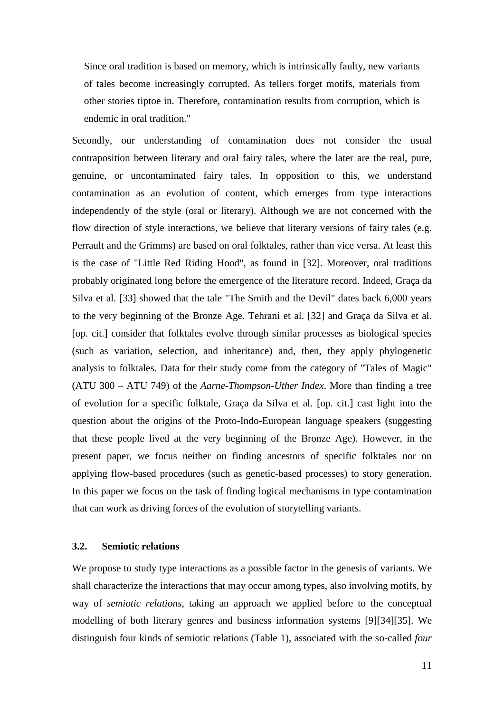Since oral tradition is based on memory, which is intrinsically faulty, new variants of tales become increasingly corrupted. As tellers forget motifs, materials from other stories tiptoe in. Therefore, contamination results from corruption, which is endemic in oral tradition."

Secondly, our understanding of contamination does not consider the usual contraposition between literary and oral fairy tales, where the later are the real, pure, genuine, or uncontaminated fairy tales. In opposition to this, we understand contamination as an evolution of content, which emerges from type interactions independently of the style (oral or literary). Although we are not concerned with the flow direction of style interactions, we believe that literary versions of fairy tales (e.g. Perrault and the Grimms) are based on oral folktales, rather than vice versa. At least this is the case of "Little Red Riding Hood", as found in [\[32\].](#page-34-12) Moreover, oral traditions probably originated long before the emergence of the literature record. Indeed, Graça da Silva et al. [\[33\]](#page-34-13) showed that the tale "The Smith and the Devil" dates back 6,000 years to the very beginning of the Bronze Age. Tehrani et al. [\[32\]](#page-34-12) and Graça da Silva et al. [op. cit.] consider that folktales evolve through similar processes as biological species (such as variation, selection, and inheritance) and, then, they apply phylogenetic analysis to folktales. Data for their study come from the category of "Tales of Magic" (ATU 300 – ATU 749) of the *Aarne-Thompson-Uther Index*. More than finding a tree of evolution for a specific folktale, Graça da Silva et al. [op. cit.] cast light into the question about the origins of the Proto-Indo-European language speakers (suggesting that these people lived at the very beginning of the Bronze Age). However, in the present paper, we focus neither on finding ancestors of specific folktales nor on applying flow-based procedures (such as genetic-based processes) to story generation. In this paper we focus on the task of finding logical mechanisms in type contamination that can work as driving forces of the evolution of storytelling variants.

# **3.2. Semiotic relations**

We propose to study type interactions as a possible factor in the genesis of variants. We shall characterize the interactions that may occur among types, also involving motifs, by way of *semiotic relations*, taking an approach we applied before to the conceptual modelling of both literary genres and business information systems [\[9\]](#page-33-4)[\[34\]](#page-35-0)[\[35\].](#page-35-1) We distinguish four kinds of semiotic relations (Table 1), associated with the so-called *four*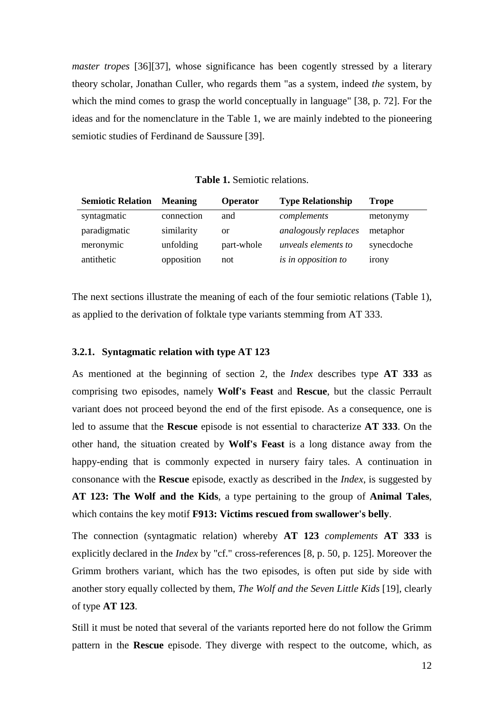*master tropes* [\[36\]](#page-35-2)[\[37\],](#page-35-3) whose significance has been cogently stressed by a literary theory scholar, Jonathan Culler, who regards them "as a system, indeed *the* system, by which the mind comes to grasp the world conceptually in language" [38, p. 72]. For the ideas and for the nomenclature in the Table 1, we are mainly indebted to the pioneering semiotic studies of Ferdinand de Saussure [\[39\].](#page-35-4)

#### **Table 1.** Semiotic relations.

| <b>Semiotic Relation</b> | <b>Meaning</b> | <b>Operator</b> | <b>Type Relationship</b> | <b>Trope</b> |
|--------------------------|----------------|-----------------|--------------------------|--------------|
| syntagmatic              | connection     | and             | complements              | metonymy     |
| paradigmatic             | similarity     | or              | analogously replaces     | metaphor     |
| meronymic                | unfolding      | part-whole      | unveals elements to      | synecdoche   |
| antithetic               | opposition     | not             | is in opposition to      | <i>arony</i> |

The next sections illustrate the meaning of each of the four semiotic relations (Table 1), as applied to the derivation of folktale type variants stemming from AT 333.

## **3.2.1. Syntagmatic relation with type AT 123**

As mentioned at the beginning of section 2, the *Index* describes type **AT 333** as comprising two episodes, namely **Wolf's Feast** and **Rescue**, but the classic Perrault variant does not proceed beyond the end of the first episode. As a consequence, one is led to assume that the **Rescue** episode is not essential to characterize **AT 333**. On the other hand, the situation created by **Wolf's Feast** is a long distance away from the happy-ending that is commonly expected in nursery fairy tales. A continuation in consonance with the **Rescue** episode, exactly as described in the *Index*, is suggested by **AT 123: The Wolf and the Kids**, a type pertaining to the group of **Animal Tales**, which contains the key motif **F913: Victims rescued from swallower's belly**.

The connection (syntagmatic relation) whereby **AT 123** *complements* **AT 333** is explicitly declared in the *Index* by "cf." cross-references [8, p. 50, p. 125]. Moreover the Grimm brothers variant, which has the two episodes, is often put side by side with another story equally collected by them, *The Wolf and the Seven Little Kids* [\[19\],](#page-34-1) clearly of type **AT 123**.

Still it must be noted that several of the variants reported here do not follow the Grimm pattern in the **Rescue** episode. They diverge with respect to the outcome, which, as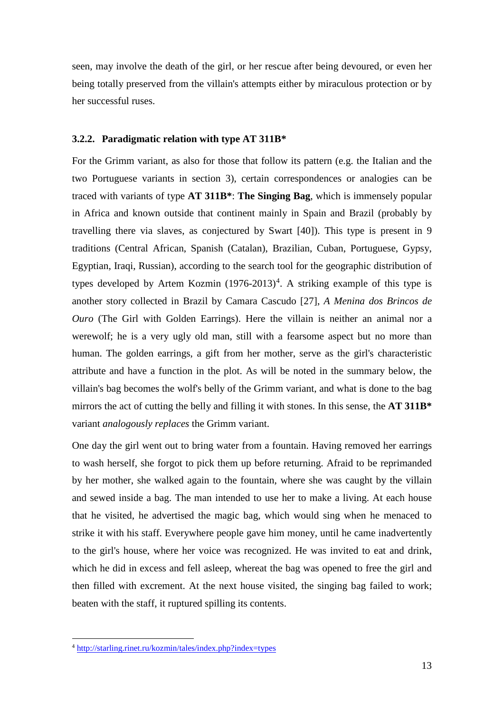seen, may involve the death of the girl, or her rescue after being devoured, or even her being totally preserved from the villain's attempts either by miraculous protection or by her successful ruses.

## **3.2.2. Paradigmatic relation with type AT 311B\***

For the Grimm variant, as also for those that follow its pattern (e.g. the Italian and the two Portuguese variants in section 3), certain correspondences or analogies can be traced with variants of type **AT 311B\***: **The Singing Bag**, which is immensely popular in Africa and known outside that continent mainly in Spain and Brazil (probably by travelling there via slaves, as conjectured by Swart [\[40\]\)](#page-35-5). This type is present in 9 traditions (Central African, Spanish (Catalan), Brazilian, Cuban, Portuguese, Gypsy, Egyptian, Iraqi, Russian), according to the search tool for the geographic distribution of types developed by Artem Kozmin  $(1976-2013)^4$  $(1976-2013)^4$ . A striking example of this type is another story collected in Brazil by Camara Cascudo [\[27\],](#page-34-8) *A Menina dos Brincos de Ouro* (The Girl with Golden Earrings). Here the villain is neither an animal nor a werewolf; he is a very ugly old man, still with a fearsome aspect but no more than human. The golden earrings, a gift from her mother, serve as the girl's characteristic attribute and have a function in the plot. As will be noted in the summary below, the villain's bag becomes the wolf's belly of the Grimm variant, and what is done to the bag mirrors the act of cutting the belly and filling it with stones. In this sense, the **AT 311B\*** variant *analogously replaces* the Grimm variant.

One day the girl went out to bring water from a fountain. Having removed her earrings to wash herself, she forgot to pick them up before returning. Afraid to be reprimanded by her mother, she walked again to the fountain, where she was caught by the villain and sewed inside a bag. The man intended to use her to make a living. At each house that he visited, he advertised the magic bag, which would sing when he menaced to strike it with his staff. Everywhere people gave him money, until he came inadvertently to the girl's house, where her voice was recognized. He was invited to eat and drink, which he did in excess and fell asleep, whereat the bag was opened to free the girl and then filled with excrement. At the next house visited, the singing bag failed to work; beaten with the staff, it ruptured spilling its contents.

<span id="page-12-0"></span> <sup>4</sup> <http://starling.rinet.ru/kozmin/tales/index.php?index=types>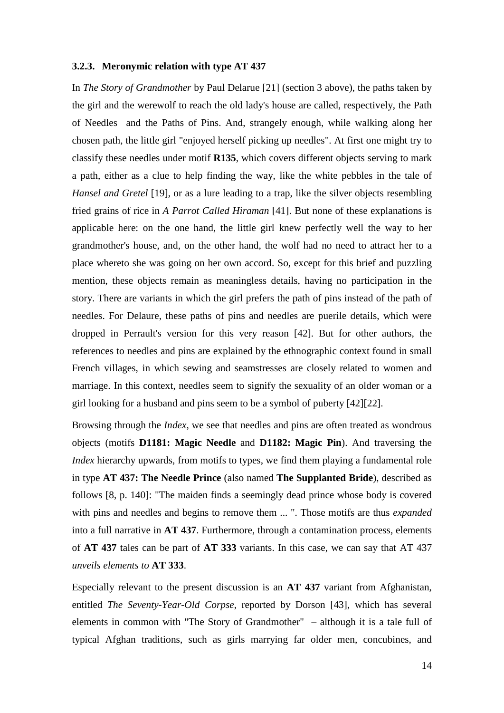#### **3.2.3. Meronymic relation with type AT 437**

In *The Story of Grandmother* by Paul Delarue [\[21\]](#page-34-3) (section 3 above), the paths taken by the girl and the werewolf to reach the old lady's house are called, respectively, the Path of Needles and the Paths of Pins. And, strangely enough, while walking along her chosen path, the little girl "enjoyed herself picking up needles". At first one might try to classify these needles under motif **R135**, which covers different objects serving to mark a path, either as a clue to help finding the way, like the white pebbles in the tale of *Hansel and Gretel* [\[19\],](#page-34-1) or as a lure leading to a trap, like the silver objects resembling fried grains of rice in *A Parrot Called Hiraman* [\[41\].](#page-35-6) But none of these explanations is applicable here: on the one hand, the little girl knew perfectly well the way to her grandmother's house, and, on the other hand, the wolf had no need to attract her to a place whereto she was going on her own accord. So, except for this brief and puzzling mention, these objects remain as meaningless details, having no participation in the story. There are variants in which the girl prefers the path of pins instead of the path of needles. For Delaure, these paths of pins and needles are puerile details, which were dropped in Perrault's version for this very reason [\[42\].](#page-35-7) But for other authors, the references to needles and pins are explained by the ethnographic context found in small French villages, in which sewing and seamstresses are closely related to women and marriage. In this context, needles seem to signify the sexuality of an older woman or a girl looking for a husband and pins seem to be a symbol of puberty [\[42\]](#page-35-7)[\[22\].](#page-34-14)

Browsing through the *Index*, we see that needles and pins are often treated as wondrous objects (motifs **D1181: Magic Needle** and **D1182: Magic Pin**). And traversing the *Index* hierarchy upwards, from motifs to types, we find them playing a fundamental role in type **AT 437: The Needle Prince** (also named **The Supplanted Bride**), described as follows [8, p. 140]: "The maiden finds a seemingly dead prince whose body is covered with pins and needles and begins to remove them ... ". Those motifs are thus *expanded* into a full narrative in **AT 437**. Furthermore, through a contamination process, elements of **AT 437** tales can be part of **AT 333** variants. In this case, we can say that AT 437 *unveils elements to* **AT 333**.

Especially relevant to the present discussion is an **AT 437** variant from Afghanistan, entitled *The Seventy-Year-Old Corpse*, reported by Dorson [\[43\],](#page-35-8) which has several elements in common with "The Story of Grandmother" – although it is a tale full of typical Afghan traditions, such as girls marrying far older men, concubines, and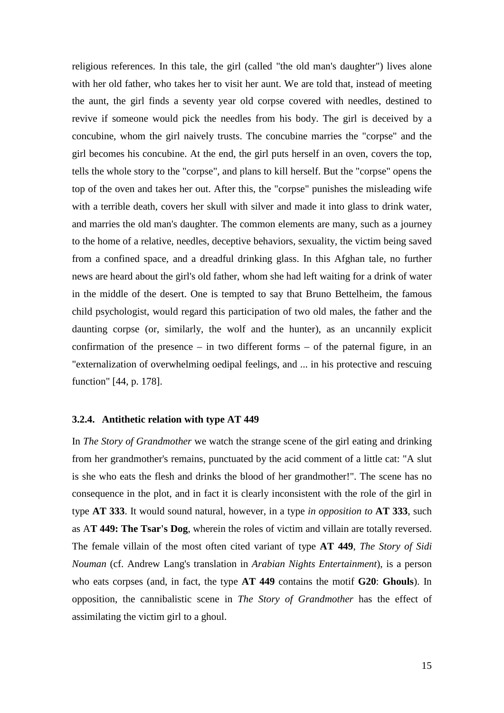religious references. In this tale, the girl (called "the old man's daughter") lives alone with her old father, who takes her to visit her aunt. We are told that, instead of meeting the aunt, the girl finds a seventy year old corpse covered with needles, destined to revive if someone would pick the needles from his body. The girl is deceived by a concubine, whom the girl naively trusts. The concubine marries the "corpse" and the girl becomes his concubine. At the end, the girl puts herself in an oven, covers the top, tells the whole story to the "corpse", and plans to kill herself. But the "corpse" opens the top of the oven and takes her out. After this, the "corpse" punishes the misleading wife with a terrible death, covers her skull with silver and made it into glass to drink water, and marries the old man's daughter. The common elements are many, such as a journey to the home of a relative, needles, deceptive behaviors, sexuality, the victim being saved from a confined space, and a dreadful drinking glass. In this Afghan tale, no further news are heard about the girl's old father, whom she had left waiting for a drink of water in the middle of the desert. One is tempted to say that Bruno Bettelheim, the famous child psychologist, would regard this participation of two old males, the father and the daunting corpse (or, similarly, the wolf and the hunter), as an uncannily explicit confirmation of the presence – in two different forms – of the paternal figure, in an "externalization of overwhelming oedipal feelings, and ... in his protective and rescuing function" [44, p. 178].

### **3.2.4. Antithetic relation with type AT 449**

In *The Story of Grandmother* we watch the strange scene of the girl eating and drinking from her grandmother's remains, punctuated by the acid comment of a little cat: "A slut is she who eats the flesh and drinks the blood of her grandmother!". The scene has no consequence in the plot, and in fact it is clearly inconsistent with the role of the girl in type **AT 333**. It would sound natural, however, in a type *in opposition to* **AT 333**, such as A**T 449: The Tsar's Dog**, wherein the roles of victim and villain are totally reversed. The female villain of the most often cited variant of type **AT 449**, *The Story of Sidi Nouman* (cf. Andrew Lang's translation in *Arabian Nights Entertainment*), is a person who eats corpses (and, in fact, the type **AT 449** contains the motif **G20**: **Ghouls**). In opposition, the cannibalistic scene in *The Story of Grandmother* has the effect of assimilating the victim girl to a ghoul.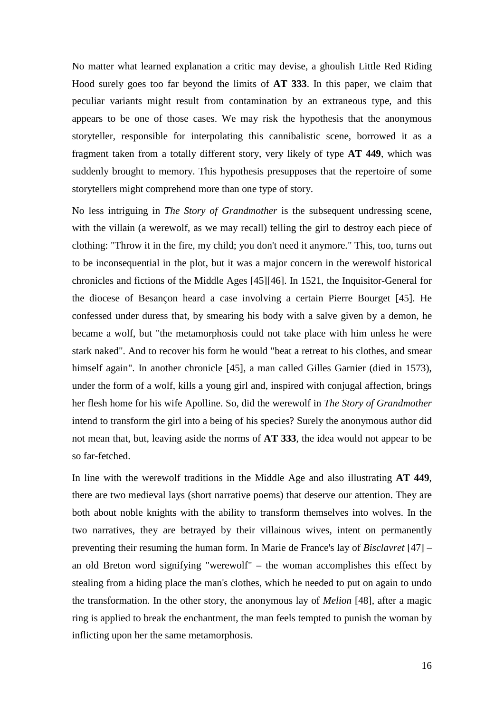No matter what learned explanation a critic may devise, a ghoulish Little Red Riding Hood surely goes too far beyond the limits of **AT 333**. In this paper, we claim that peculiar variants might result from contamination by an extraneous type, and this appears to be one of those cases. We may risk the hypothesis that the anonymous storyteller, responsible for interpolating this cannibalistic scene, borrowed it as a fragment taken from a totally different story, very likely of type **AT 449**, which was suddenly brought to memory. This hypothesis presupposes that the repertoire of some storytellers might comprehend more than one type of story.

No less intriguing in *The Story of Grandmother* is the subsequent undressing scene, with the villain (a werewolf, as we may recall) telling the girl to destroy each piece of clothing: "Throw it in the fire, my child; you don't need it anymore." This, too, turns out to be inconsequential in the plot, but it was a major concern in the werewolf historical chronicles and fictions of the Middle Ages [\[45\]](#page-35-9)[\[46\].](#page-35-10) In 1521, the Inquisitor-General for the diocese of Besançon heard a case involving a certain Pierre Bourget [\[45\].](#page-35-9) He confessed under duress that, by smearing his body with a salve given by a demon, he became a wolf, but "the metamorphosis could not take place with him unless he were stark naked". And to recover his form he would "beat a retreat to his clothes, and smear himself again". In another chronicle [\[45\],](#page-35-9) a man called Gilles Garnier (died in 1573), under the form of a wolf, kills a young girl and, inspired with conjugal affection, brings her flesh home for his wife Apolline. So, did the werewolf in *The Story of Grandmother* intend to transform the girl into a being of his species? Surely the anonymous author did not mean that, but, leaving aside the norms of **AT 333**, the idea would not appear to be so far-fetched.

In line with the werewolf traditions in the Middle Age and also illustrating **AT 449**, there are two medieval lays (short narrative poems) that deserve our attention. They are both about noble knights with the ability to transform themselves into wolves. In the two narratives, they are betrayed by their villainous wives, intent on permanently preventing their resuming the human form. In Marie de France's lay of *Bisclavret* [\[47\]](#page-35-11) – an old Breton word signifying "werewolf" – the woman accomplishes this effect by stealing from a hiding place the man's clothes, which he needed to put on again to undo the transformation. In the other story, the anonymous lay of *Melion* [\[48\],](#page-35-12) after a magic ring is applied to break the enchantment, the man feels tempted to punish the woman by inflicting upon her the same metamorphosis.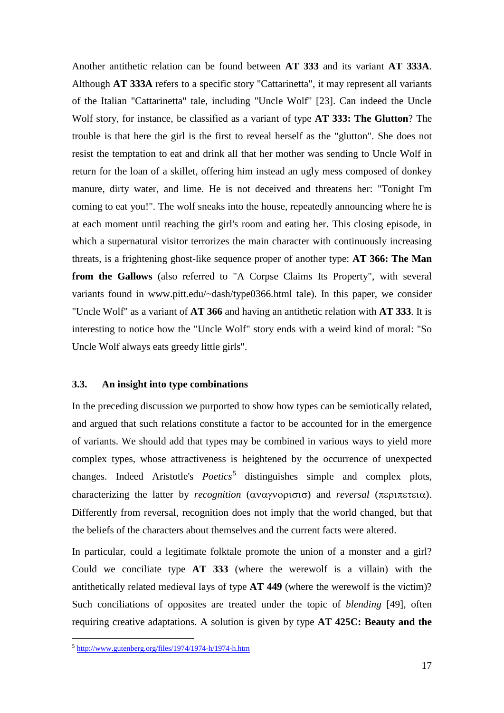Another antithetic relation can be found between **AT 333** and its variant **AT 333A**. Although **AT 333A** refers to a specific story "Cattarinetta", it may represent all variants of the Italian "Cattarinetta" tale, including "Uncle Wolf" [\[23\].](#page-34-4) Can indeed the Uncle Wolf story, for instance, be classified as a variant of type **AT 333: The Glutton**? The trouble is that here the girl is the first to reveal herself as the "glutton". She does not resist the temptation to eat and drink all that her mother was sending to Uncle Wolf in return for the loan of a skillet, offering him instead an ugly mess composed of donkey manure, dirty water, and lime. He is not deceived and threatens her: "Tonight I'm coming to eat you!". The wolf sneaks into the house, repeatedly announcing where he is at each moment until reaching the girl's room and eating her. This closing episode, in which a supernatural visitor terrorizes the main character with continuously increasing threats, is a frightening ghost-like sequence proper of another type: **AT 366: The Man from the Gallows** (also referred to "A Corpse Claims Its Property", with several variants found in www.pitt.edu/~dash/type0366.html tale). In this paper, we consider "Uncle Wolf" as a variant of **AT 366** and having an antithetic relation with **AT 333**. It is interesting to notice how the "Uncle Wolf" story ends with a weird kind of moral: "So Uncle Wolf always eats greedy little girls".

# **3.3. An insight into type combinations**

In the preceding discussion we purported to show how types can be semiotically related, and argued that such relations constitute a factor to be accounted for in the emergence of variants. We should add that types may be combined in various ways to yield more complex types, whose attractiveness is heightened by the occurrence of unexpected changes. Indeed Aristotle's *Poetics*<sup>[5](#page-16-0)</sup> distinguishes simple and complex plots, characterizing the latter by *recognition* (αναγνορισισ) and *reversal* (περιπετεια). Differently from reversal, recognition does not imply that the world changed, but that the beliefs of the characters about themselves and the current facts were altered.

In particular, could a legitimate folktale promote the union of a monster and a girl? Could we conciliate type **AT 333** (where the werewolf is a villain) with the antithetically related medieval lays of type **AT 449** (where the werewolf is the victim)? Such conciliations of opposites are treated under the topic of *blending* [\[49\],](#page-35-13) often requiring creative adaptations. A solution is given by type **AT 425C: Beauty and the** 

<span id="page-16-0"></span> <sup>5</sup> <http://www.gutenberg.org/files/1974/1974-h/1974-h.htm>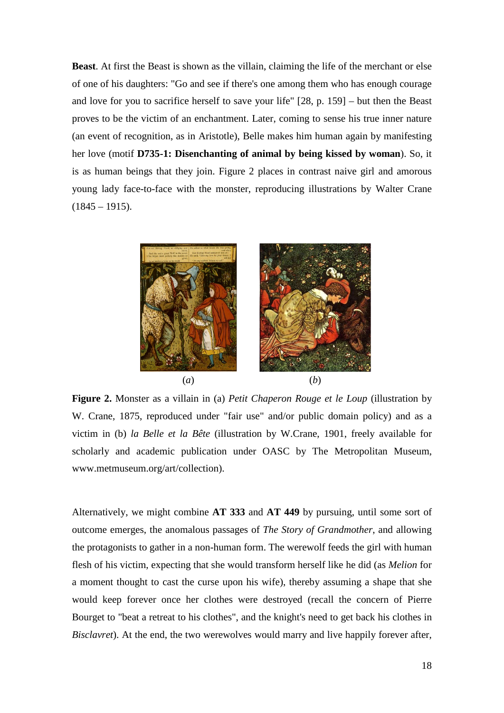**Beast**. At first the Beast is shown as the villain, claiming the life of the merchant or else of one of his daughters: "Go and see if there's one among them who has enough courage and love for you to sacrifice herself to save your life" [28, p. 159] – but then the Beast proves to be the victim of an enchantment. Later, coming to sense his true inner nature (an event of recognition, as in Aristotle), Belle makes him human again by manifesting her love (motif **D735-1: Disenchanting of animal by being kissed by woman**). So, it is as human beings that they join. Figure 2 places in contrast naive girl and amorous young lady face-to-face with the monster, reproducing illustrations by Walter Crane  $(1845 - 1915).$ 



**Figure 2.** Monster as a villain in (a) *Petit Chaperon Rouge et le Loup* (illustration by W. Crane, 1875, reproduced under "fair use" and/or public domain policy) and as a victim in (b) *la Belle et la Bête* (illustration by W.Crane, 1901, freely available for scholarly and academic publication under OASC by The Metropolitan Museum, www.metmuseum.org/art/collection).

Alternatively, we might combine **AT 333** and **AT 449** by pursuing, until some sort of outcome emerges, the anomalous passages of *The Story of Grandmother*, and allowing the protagonists to gather in a non-human form. The werewolf feeds the girl with human flesh of his victim, expecting that she would transform herself like he did (as *Melion* for a moment thought to cast the curse upon his wife), thereby assuming a shape that she would keep forever once her clothes were destroyed (recall the concern of Pierre Bourget to "beat a retreat to his clothes", and the knight's need to get back his clothes in *Bisclavret*). At the end, the two werewolves would marry and live happily forever after,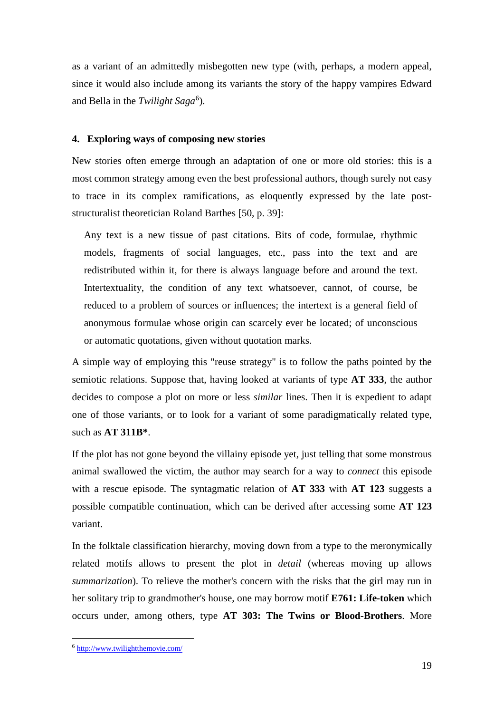as a variant of an admittedly misbegotten new type (with, perhaps, a modern appeal, since it would also include among its variants the story of the happy vampires Edward and Bella in the *Twilight Saga*<sup>[6](#page-18-0)</sup>).

### **4. Exploring ways of composing new stories**

New stories often emerge through an adaptation of one or more old stories: this is a most common strategy among even the best professional authors, though surely not easy to trace in its complex ramifications, as eloquently expressed by the late poststructuralist theoretician Roland Barthes [50, p. 39]:

Any text is a new tissue of past citations. Bits of code, formulae, rhythmic models, fragments of social languages, etc., pass into the text and are redistributed within it, for there is always language before and around the text. Intertextuality, the condition of any text whatsoever, cannot, of course, be reduced to a problem of sources or influences; the intertext is a general field of anonymous formulae whose origin can scarcely ever be located; of unconscious or automatic quotations, given without quotation marks.

A simple way of employing this "reuse strategy" is to follow the paths pointed by the semiotic relations. Suppose that, having looked at variants of type **AT 333**, the author decides to compose a plot on more or less *similar* lines. Then it is expedient to adapt one of those variants, or to look for a variant of some paradigmatically related type, such as **AT 311B\***.

If the plot has not gone beyond the villainy episode yet, just telling that some monstrous animal swallowed the victim, the author may search for a way to *connect* this episode with a rescue episode. The syntagmatic relation of **AT 333** with **AT 123** suggests a possible compatible continuation, which can be derived after accessing some **AT 123** variant.

In the folktale classification hierarchy, moving down from a type to the meronymically related motifs allows to present the plot in *detail* (whereas moving up allows *summarization*). To relieve the mother's concern with the risks that the girl may run in her solitary trip to grandmother's house, one may borrow motif **E761: Life-token** which occurs under, among others, type **AT 303: The Twins or Blood-Brothers**. More

<span id="page-18-0"></span> <sup>6</sup> <http://www.twilightthemovie.com/>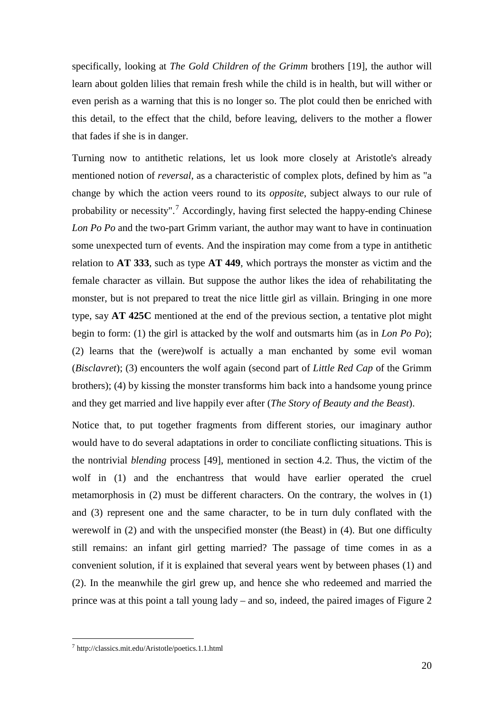specifically, looking at *The Gold Children of the Grimm* brothers [\[19\],](#page-34-1) the author will learn about golden lilies that remain fresh while the child is in health, but will wither or even perish as a warning that this is no longer so. The plot could then be enriched with this detail, to the effect that the child, before leaving, delivers to the mother a flower that fades if she is in danger.

Turning now to antithetic relations, let us look more closely at Aristotle's already mentioned notion of *reversal*, as a characteristic of complex plots, defined by him as "a change by which the action veers round to its *opposite*, subject always to our rule of probability or necessity".[7](#page-19-0) Accordingly, having first selected the happy-ending Chinese *Lon Po Po* and the two-part Grimm variant, the author may want to have in continuation some unexpected turn of events. And the inspiration may come from a type in antithetic relation to **AT 333**, such as type **AT 449**, which portrays the monster as victim and the female character as villain. But suppose the author likes the idea of rehabilitating the monster, but is not prepared to treat the nice little girl as villain. Bringing in one more type, say **AT 425C** mentioned at the end of the previous section, a tentative plot might begin to form: (1) the girl is attacked by the wolf and outsmarts him (as in *Lon Po Po*); (2) learns that the (were)wolf is actually a man enchanted by some evil woman (*Bisclavret*); (3) encounters the wolf again (second part of *Little Red Cap* of the Grimm brothers); (4) by kissing the monster transforms him back into a handsome young prince and they get married and live happily ever after (*The Story of Beauty and the Beast*).

Notice that, to put together fragments from different stories, our imaginary author would have to do several adaptations in order to conciliate conflicting situations. This is the nontrivial *blending* process [\[49\],](#page-35-13) mentioned in section 4.2. Thus, the victim of the wolf in (1) and the enchantress that would have earlier operated the cruel metamorphosis in (2) must be different characters. On the contrary, the wolves in (1) and (3) represent one and the same character, to be in turn duly conflated with the werewolf in (2) and with the unspecified monster (the Beast) in (4). But one difficulty still remains: an infant girl getting married? The passage of time comes in as a convenient solution, if it is explained that several years went by between phases (1) and (2). In the meanwhile the girl grew up, and hence she who redeemed and married the prince was at this point a tall young lady – and so, indeed, the paired images of Figure 2

<span id="page-19-0"></span> <sup>7</sup> http://classics.mit.edu/Aristotle/poetics.1.1.html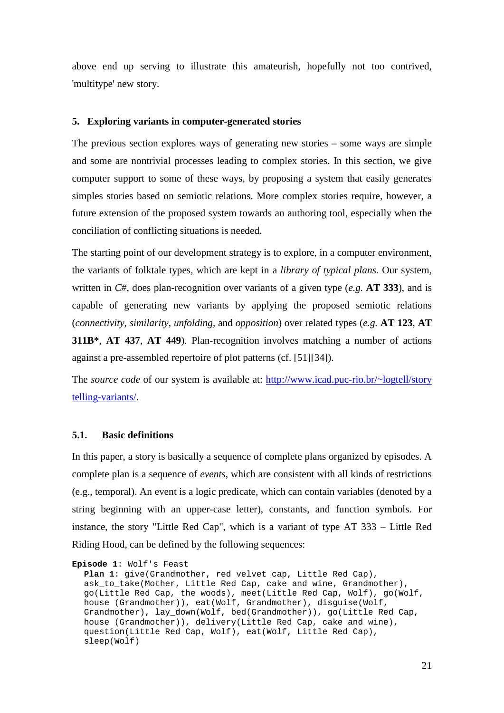above end up serving to illustrate this amateurish, hopefully not too contrived, 'multitype' new story.

### **5. Exploring variants in computer-generated stories**

The previous section explores ways of generating new stories – some ways are simple and some are nontrivial processes leading to complex stories. In this section, we give computer support to some of these ways, by proposing a system that easily generates simples stories based on semiotic relations. More complex stories require, however, a future extension of the proposed system towards an authoring tool, especially when the conciliation of conflicting situations is needed.

The starting point of our development strategy is to explore, in a computer environment, the variants of folktale types, which are kept in a *library of typical plans*. Our system, written in *C#*, does plan-recognition over variants of a given type (*e.g.* **AT 333**), and is capable of generating new variants by applying the proposed semiotic relations (*connectivity*, *similarity*, *unfolding*, and *opposition*) over related types (*e.g.* **AT 123**, **AT 311B\***, **AT 437**, **AT 449**). Plan-recognition involves matching a number of actions against a pre-assembled repertoire of plot patterns (cf. [\[51\]](#page-35-14)[\[34\]\)](#page-35-0).

The *source code* of our system is available at: [http://www.icad.puc-rio.br/~logtell/story](http://www.icad.puc-rio.br/%7Elogtell/storytelling-variants/)  [telling-variants/.](http://www.icad.puc-rio.br/%7Elogtell/storytelling-variants/)

## **5.1. Basic definitions**

In this paper, a story is basically a sequence of complete plans organized by episodes. A complete plan is a sequence of *events*, which are consistent with all kinds of restrictions (e.g., temporal). An event is a logic predicate, which can contain variables (denoted by a string beginning with an upper-case letter), constants, and function symbols. For instance, the story "Little Red Cap", which is a variant of type AT 333 – Little Red Riding Hood, can be defined by the following sequences:

**Episode 1**: Wolf's Feast

**Plan 1**: give(Grandmother, red velvet cap, Little Red Cap), ask to take(Mother, Little Red Cap, cake and wine, Grandmother), go(Little Red Cap, the woods), meet(Little Red Cap, Wolf), go(Wolf, house (Grandmother)), eat(Wolf, Grandmother), disguise(Wolf, Grandmother), lay\_down(Wolf, bed(Grandmother)), go(Little Red Cap, house (Grandmother)), delivery(Little Red Cap, cake and wine), question(Little Red Cap, Wolf), eat(Wolf, Little Red Cap), sleep(Wolf)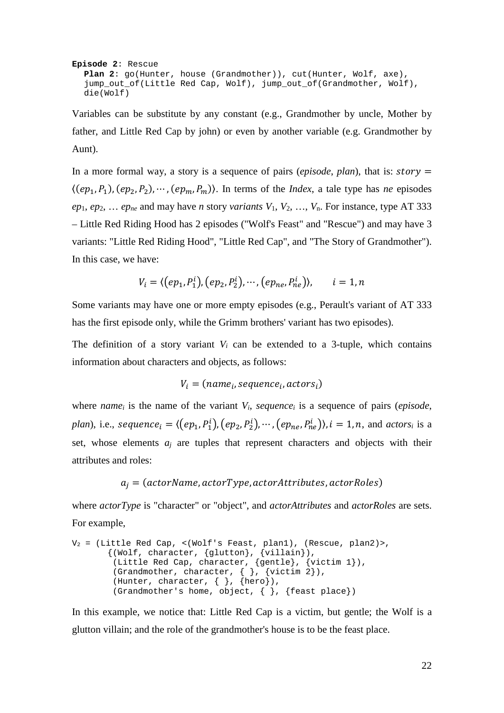```
Episode 2: Rescue
  Plan 2: go(Hunter, house (Grandmother)), cut(Hunter, Wolf, axe), 
  jump_out_of(Little Red Cap, Wolf), jump_out_of(Grandmother, Wolf), 
  die(Wolf)
```
Variables can be substitute by any constant (e.g., Grandmother by uncle, Mother by father, and Little Red Cap by john) or even by another variable (e.g. Grandmother by Aunt).

In a more formal way, a story is a sequence of pairs *(episode, plan)*, that is:  $story =$  $\langle (ep_1, P_1), (ep_2, P_2), \cdots, (ep_m, P_m) \rangle$ . In terms of the *Index*, a tale type has *ne* episodes  $ep_1, ep_2, \ldots ep_{ne}$  and may have *n* story *variants*  $V_1, V_2, \ldots, V_n$ . For instance, type AT 333 – Little Red Riding Hood has 2 episodes ("Wolf's Feast" and "Rescue") and may have 3 variants: "Little Red Riding Hood", "Little Red Cap", and "The Story of Grandmother"). In this case, we have:

$$
V_i = \langle (ep_1, P_1^i), (ep_2, P_2^i), \cdots, (ep_{ne}, P_{ne}^i) \rangle, \qquad i = 1, n
$$

Some variants may have one or more empty episodes (e.g., Perault's variant of AT 333 has the first episode only, while the Grimm brothers' variant has two episodes).

The definition of a story variant  $V_i$  can be extended to a 3-tuple, which contains information about characters and objects, as follows:

$$
V_i = (name_i, sequence_i, actors_i)
$$

where *name<sub>i</sub>* is the name of the variant  $V_i$ , *sequence<sub>i</sub>* is a sequence of pairs (*episode*, *plan*), i.e., sequence<sub>i</sub> =  $((ep_1, P_1^l), (ep_2, P_2^l), \cdots, (ep_{ne}, P_{ne}^l)), i = 1, n$ , and *actors<sub>i</sub>* is a set, whose elements *aj* are tuples that represent characters and objects with their attributes and roles:

 $a_i = (actorName, actorType, actorAttributes, actorRules)$ 

where *actorType* is "character" or "object", and *actorAttributes* and *actorRoles* are sets. For example,

```
V_2 = (Little Red Cap, <(Wolf's Feast, plan1), (Rescue, plan2)>,
        {(Wolf, character, {glutton}, {villain}), 
 (Little Red Cap, character, {gentle}, {victim 1}),
 (Grandmother, character, { }, {victim 2}),
        (Hunter, character, \{\}, \{here\}),
        (Grandmother's home, object, \{ \}, \{ feast\ place\})
```
In this example, we notice that: Little Red Cap is a victim, but gentle; the Wolf is a glutton villain; and the role of the grandmother's house is to be the feast place.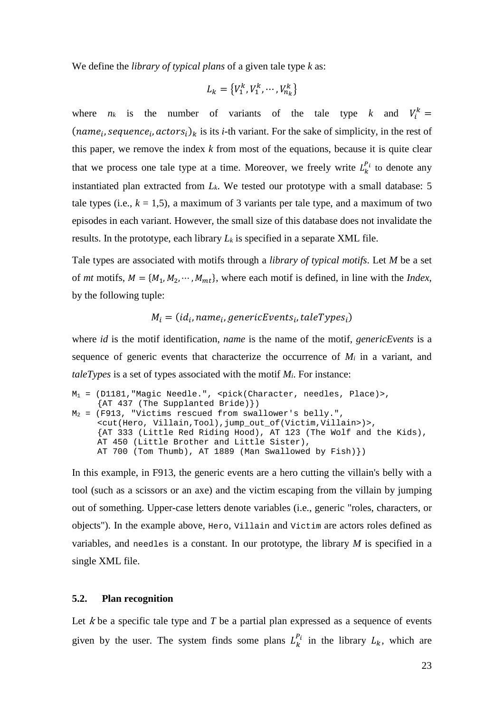We define the *library of typical plans* of a given tale type *k* as:

$$
L_k=\left\{V_1^k, V_1^k, \cdots, V_{n_k}^k\right\}
$$

where  $n_k$  is the number of variants of the tale type  $k$  and  $V_i^k =$  $(name_i, sequence_i, actors_i)_k$  is its *i*-th variant. For the sake of simplicity, in the rest of this paper, we remove the index *k* from most of the equations, because it is quite clear that we process one tale type at a time. Moreover, we freely write  $L_k^{p_i}$  to denote any instantiated plan extracted from  $L_k$ . We tested our prototype with a small database: 5 tale types (i.e.,  $k = 1.5$ ), a maximum of 3 variants per tale type, and a maximum of two episodes in each variant. However, the small size of this database does not invalidate the results. In the prototype, each library  $L_k$  is specified in a separate XML file.

Tale types are associated with motifs through a *library of typical motifs*. Let *M* be a set of *mt* motifs,  $M = \{M_1, M_2, \dots, M_{mt}\}$ , where each motif is defined, in line with the *Index*, by the following tuple:

$$
M_i = (id_i, name_i, genericEvents_i, taleTypes_i)
$$

where *id* is the motif identification, *name* is the name of the motif, *genericEvents* is a sequence of generic events that characterize the occurrence of  $M_i$  in a variant, and  $taleTypes$  is a set of types associated with the motif  $M_i$ . For instance:

```
M_1 = (D1181, "Magic Needle.", <pick(Character, needles, Place)>,
      {AT 437 (The Supplanted Bride)})
M_2 = (F913, "Victims rescued from swallower's belly.",
      <cut(Hero, Villain,Tool),jump_out_of(Victim,Villain>)>,
      {AT 333 (Little Red Riding Hood), AT 123 (The Wolf and the Kids),
      AT 450 (Little Brother and Little Sister),
      AT 700 (Tom Thumb), AT 1889 (Man Swallowed by Fish)})
```
In this example, in F913, the generic events are a hero cutting the villain's belly with a tool (such as a scissors or an axe) and the victim escaping from the villain by jumping out of something. Upper-case letters denote variables (i.e., generic "roles, characters, or objects"). In the example above, Hero, Villain and Victim are actors roles defined as variables, and needles is a constant. In our prototype, the library *M* is specified in a single XML file.

# **5.2. Plan recognition**

Let  $k$  be a specific tale type and  $T$  be a partial plan expressed as a sequence of events given by the user. The system finds some plans  $L_k^{p_i}$  in the library  $L_k$ , which are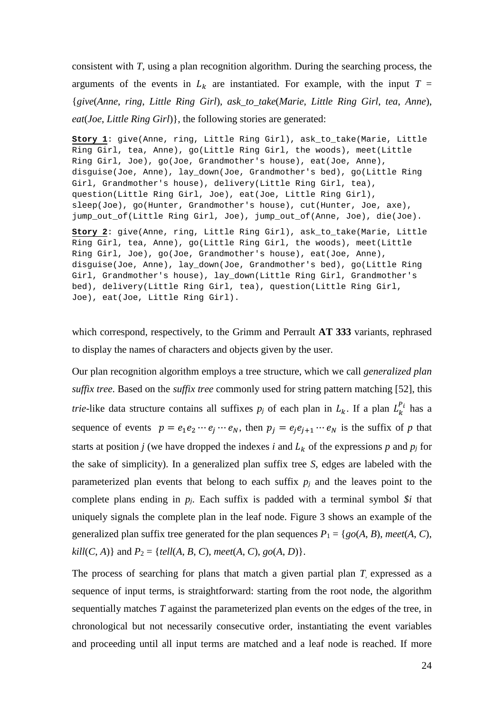consistent with *T*, using a plan recognition algorithm. During the searching process, the arguments of the events in  $L_k$  are instantiated. For example, with the input  $T =$ {*give*(*Anne*, *ring*, *Little Ring Girl*), *ask\_to\_take*(*Marie*, *Little Ring Girl*, *tea*, *Anne*), *eat*(*Joe*, *Little Ring Girl*)}, the following stories are generated:

**Story 1**: give(Anne, ring, Little Ring Girl), ask\_to\_take(Marie, Little Ring Girl, tea, Anne), go(Little Ring Girl, the woods), meet(Little Ring Girl, Joe), go(Joe, Grandmother's house), eat(Joe, Anne), disguise(Joe, Anne), lay\_down(Joe, Grandmother's bed), go(Little Ring Girl, Grandmother's house), delivery(Little Ring Girl, tea), question(Little Ring Girl, Joe), eat(Joe, Little Ring Girl), sleep(Joe), go(Hunter, Grandmother's house), cut(Hunter, Joe, axe), jump\_out\_of(Little Ring Girl, Joe), jump\_out\_of(Anne, Joe), die(Joe).

**Story 2**: give(Anne, ring, Little Ring Girl), ask\_to\_take(Marie, Little Ring Girl, tea, Anne), go(Little Ring Girl, the woods), meet(Little Ring Girl, Joe), go(Joe, Grandmother's house), eat(Joe, Anne), disguise(Joe, Anne), lay\_down(Joe, Grandmother's bed), go(Little Ring Girl, Grandmother's house), lay\_down(Little Ring Girl, Grandmother's bed), delivery(Little Ring Girl, tea), question(Little Ring Girl, Joe), eat(Joe, Little Ring Girl).

which correspond, respectively, to the Grimm and Perrault **AT 333** variants, rephrased to display the names of characters and objects given by the user.

Our plan recognition algorithm employs a tree structure, which we call *generalized plan suffix tree*. Based on the *suffix tree* commonly used for string pattern matching [\[52\],](#page-36-0) this *trie*-like data structure contains all suffixes  $p_j$  of each plan in  $L_k$ . If a plan  $L_k^{p_i}$  has a sequence of events  $p = e_1 e_2 \cdots e_j \cdots e_N$ , then  $p_j = e_j e_{j+1} \cdots e_N$  is the suffix of *p* that starts at position *j* (we have dropped the indexes *i* and  $L_k$  of the expressions *p* and  $p_j$  for the sake of simplicity). In a generalized plan suffix tree *S*, edges are labeled with the parameterized plan events that belong to each suffix  $p_i$  and the leaves point to the complete plans ending in *pj*. Each suffix is padded with a terminal symbol *\$i* that uniquely signals the complete plan in the leaf node. Figure 3 shows an example of the generalized plan suffix tree generated for the plan sequences  $P_1 = \{go(A, B), meet(A, C),$ *kill*(*C*, *A*)} and  $P_2 = \{ \text{tell}(A, B, C), \text{ meet}(A, C), \text{ go}(A, D) \}.$ 

The process of searching for plans that match a given partial plan *T*, expressed as a sequence of input terms, is straightforward: starting from the root node, the algorithm sequentially matches *T* against the parameterized plan events on the edges of the tree, in chronological but not necessarily consecutive order, instantiating the event variables and proceeding until all input terms are matched and a leaf node is reached. If more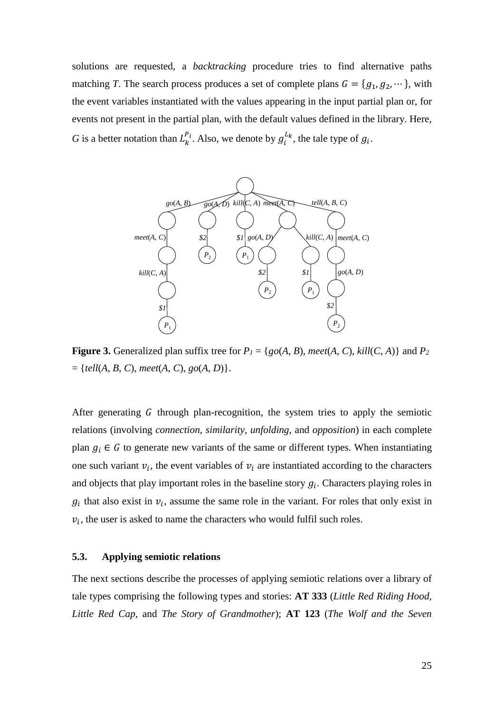solutions are requested, a *backtracking* procedure tries to find alternative paths matching *T*. The search process produces a set of complete plans  $G = \{g_1, g_2, \dots\}$ , with the event variables instantiated with the values appearing in the input partial plan or, for events not present in the partial plan, with the default values defined in the library. Here, *G* is a better notation than  $L_k^{P_i}$ . Also, we denote by  $g_i^{L_k}$ , the tale type of  $g_i$ .



**Figure 3.** Generalized plan suffix tree for  $P_1 = \{go(A, B), meet(A, C), kill(C, A)\}$  and  $P_2$  $= \{ \text{tell}(A, B, C), \text{ meet}(A, C), \text{ go}(A, D) \}.$ 

After generating  $G$  through plan-recognition, the system tries to apply the semiotic relations (involving *connection*, *similarity*, *unfolding*, and *opposition*) in each complete plan  $g_i \in G$  to generate new variants of the same or different types. When instantiating one such variant  $v_i$ , the event variables of  $v_i$  are instantiated according to the characters and objects that play important roles in the baseline story  $g_i$ . Characters playing roles in  $g_i$  that also exist in  $v_i$ , assume the same role in the variant. For roles that only exist in  $v_i$ , the user is asked to name the characters who would fulfil such roles.

#### **5.3. Applying semiotic relations**

The next sections describe the processes of applying semiotic relations over a library of tale types comprising the following types and stories: **AT 333** (*Little Red Riding Hood*, *Little Red Cap*, and *The Story of Grandmother*); **AT 123** (*The Wolf and the Seven*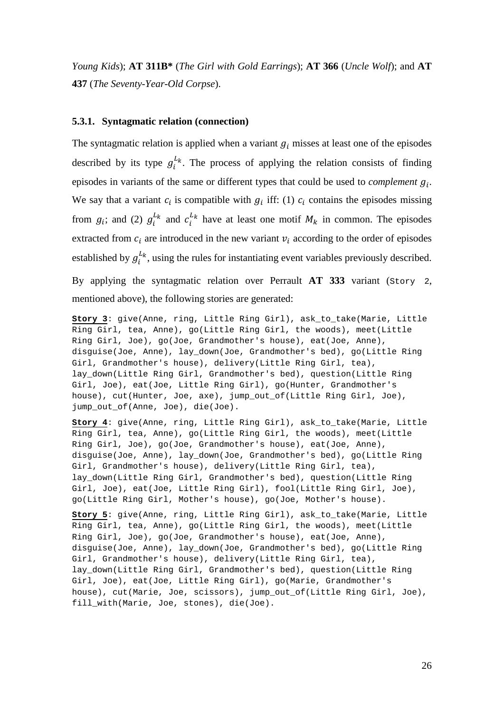*Young Kids*); **AT 311B\*** (*The Girl with Gold Earrings*); **AT 366** (*Uncle Wolf*); and **AT 437** (*The Seventy-Year-Old Corpse*).

### **5.3.1. Syntagmatic relation (connection)**

The syntagmatic relation is applied when a variant  $q_i$  misses at least one of the episodes described by its type  $g_i^{L_k}$ . The process of applying the relation consists of finding episodes in variants of the same or different types that could be used to *complement*  $q_i$ . We say that a variant  $c_i$  is compatible with  $g_i$  iff: (1)  $c_i$  contains the episodes missing from  $g_i$ ; and (2)  $g_i^{L_k}$  and  $c_i^{L_k}$  have at least one motif  $M_k$  in common. The episodes extracted from  $c_i$  are introduced in the new variant  $v_i$  according to the order of episodes established by  $g_i^{L_k}$ , using the rules for instantiating event variables previously described. By applying the syntagmatic relation over Perrault **AT 333** variant (Story 2,

mentioned above), the following stories are generated:

**Story 3**: give(Anne, ring, Little Ring Girl), ask\_to\_take(Marie, Little Ring Girl, tea, Anne), go(Little Ring Girl, the woods), meet(Little Ring Girl, Joe), go(Joe, Grandmother's house), eat(Joe, Anne), disguise(Joe, Anne), lay\_down(Joe, Grandmother's bed), go(Little Ring Girl, Grandmother's house), delivery(Little Ring Girl, tea), lay\_down(Little Ring Girl, Grandmother's bed), question(Little Ring Girl, Joe), eat(Joe, Little Ring Girl), go(Hunter, Grandmother's house), cut(Hunter, Joe, axe), jump\_out\_of(Little Ring Girl, Joe), jump\_out\_of(Anne, Joe), die(Joe).

**Story 4**: give(Anne, ring, Little Ring Girl), ask\_to\_take(Marie, Little Ring Girl, tea, Anne), go(Little Ring Girl, the woods), meet(Little Ring Girl, Joe), go(Joe, Grandmother's house), eat(Joe, Anne), disguise(Joe, Anne), lay\_down(Joe, Grandmother's bed), go(Little Ring Girl, Grandmother's house), delivery(Little Ring Girl, tea), lay down(Little Ring Girl, Grandmother's bed), question(Little Ring Girl, Joe), eat(Joe, Little Ring Girl), fool(Little Ring Girl, Joe), go(Little Ring Girl, Mother's house), go(Joe, Mother's house).

**Story 5**: give(Anne, ring, Little Ring Girl), ask\_to\_take(Marie, Little Ring Girl, tea, Anne), go(Little Ring Girl, the woods), meet(Little Ring Girl, Joe), go(Joe, Grandmother's house), eat(Joe, Anne), disguise(Joe, Anne), lay\_down(Joe, Grandmother's bed), go(Little Ring Girl, Grandmother's house), delivery(Little Ring Girl, tea), lay\_down(Little Ring Girl, Grandmother's bed), question(Little Ring Girl, Joe), eat(Joe, Little Ring Girl), go(Marie, Grandmother's house), cut(Marie, Joe, scissors), jump\_out\_of(Little Ring Girl, Joe), fill\_with(Marie, Joe, stones), die(Joe).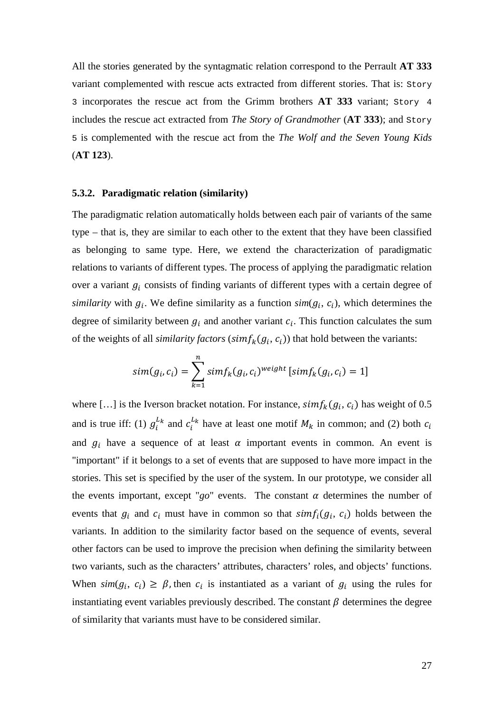All the stories generated by the syntagmatic relation correspond to the Perrault **AT 333** variant complemented with rescue acts extracted from different stories. That is: Story 3 incorporates the rescue act from the Grimm brothers **AT 333** variant; Story 4 includes the rescue act extracted from *The Story of Grandmother* (**AT 333**); and Story 5 is complemented with the rescue act from the *The Wolf and the Seven Young Kids* (**AT 123**).

#### **5.3.2. Paradigmatic relation (similarity)**

The paradigmatic relation automatically holds between each pair of variants of the same type – that is, they are similar to each other to the extent that they have been classified as belonging to same type. Here, we extend the characterization of paradigmatic relations to variants of different types. The process of applying the paradigmatic relation over a variant  $q_i$  consists of finding variants of different types with a certain degree of *similarity* with  $g_i$ . We define similarity as a function  $\text{sim}(g_i, c_i)$ , which determines the degree of similarity between  $g_i$  and another variant  $c_i$ . This function calculates the sum of the weights of all *similarity factors* ( $\text{simf}_k(g_i, c_i)$ ) that hold between the variants:

$$
sim(g_i, c_i) = \sum_{k=1}^{n} simf_k(g_i, c_i)^{weight} [simf_k(g_i, c_i) = 1]
$$

where [...] is the Iverson bracket notation. For instance,  $\text{sim} f_k(g_i, c_i)$  has weight of 0.5 and is true iff: (1)  $g_i^{L_k}$  and  $c_i^{L_k}$  have at least one motif  $M_k$  in common; and (2) both  $c_i$ and  $g_i$  have a sequence of at least  $\alpha$  important events in common. An event is "important" if it belongs to a set of events that are supposed to have more impact in the stories. This set is specified by the user of the system. In our prototype, we consider all the events important, except " $g\rho$ " events. The constant  $\alpha$  determines the number of events that  $g_i$  and  $c_i$  must have in common so that  $\text{simf}_i(g_i, c_i)$  holds between the variants. In addition to the similarity factor based on the sequence of events, several other factors can be used to improve the precision when defining the similarity between two variants, such as the characters' attributes, characters' roles, and objects' functions. When  $\sin(g_i, c_i) \ge \beta$ , then  $c_i$  is instantiated as a variant of  $g_i$  using the rules for instantiating event variables previously described. The constant  $\beta$  determines the degree of similarity that variants must have to be considered similar.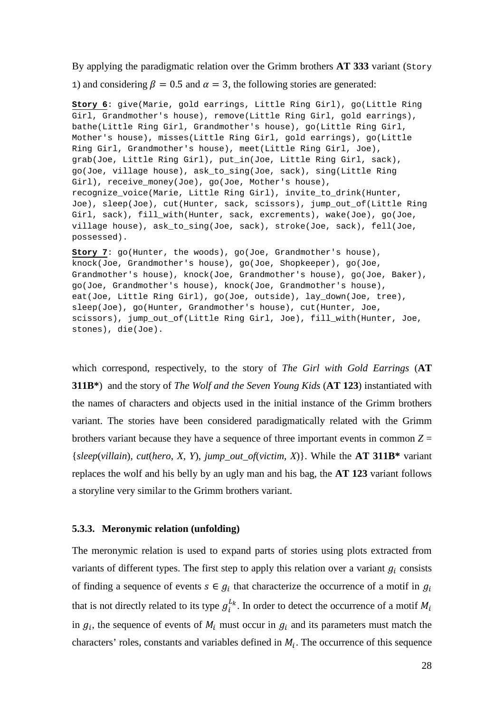By applying the paradigmatic relation over the Grimm brothers **AT 333** variant (Story

1) and considering  $\beta = 0.5$  and  $\alpha = 3$ , the following stories are generated:

**Story 6**: give(Marie, gold earrings, Little Ring Girl), go(Little Ring Girl, Grandmother's house), remove(Little Ring Girl, gold earrings), bathe(Little Ring Girl, Grandmother's house), go(Little Ring Girl, Mother's house), misses(Little Ring Girl, gold earrings), go(Little Ring Girl, Grandmother's house), meet(Little Ring Girl, Joe), grab(Joe, Little Ring Girl), put\_in(Joe, Little Ring Girl, sack), go(Joe, village house), ask\_to\_sing(Joe, sack), sing(Little Ring Girl), receive money(Joe), go(Joe, Mother's house), recognize\_voice(Marie, Little Ring Girl), invite\_to\_drink(Hunter, Joe), sleep(Joe), cut(Hunter, sack, scissors), jump\_out\_of(Little Ring Girl, sack), fill\_with(Hunter, sack, excrements), wake(Joe), go(Joe, village house), ask to sing(Joe, sack), stroke(Joe, sack), fell(Joe, possessed).

**Story 7**: go(Hunter, the woods), go(Joe, Grandmother's house), knock(Joe, Grandmother's house), go(Joe, Shopkeeper), go(Joe, Grandmother's house), knock(Joe, Grandmother's house), go(Joe, Baker), go(Joe, Grandmother's house), knock(Joe, Grandmother's house), eat(Joe, Little Ring Girl), go(Joe, outside), lay\_down(Joe, tree), sleep(Joe), go(Hunter, Grandmother's house), cut(Hunter, Joe, scissors), jump\_out\_of(Little Ring Girl, Joe), fill\_with(Hunter, Joe, stones), die(Joe).

which correspond, respectively, to the story of *The Girl with Gold Earrings* (**AT 311B\***) and the story of *The Wolf and the Seven Young Kids* (**AT 123**) instantiated with the names of characters and objects used in the initial instance of the Grimm brothers variant. The stories have been considered paradigmatically related with the Grimm brothers variant because they have a sequence of three important events in common  $Z =$  ${s \leq s}$  *(sleep(villain), cut(hero, X, Y), jump\_out\_of(victim, X)}.* While the **AT 311B\*** variant replaces the wolf and his belly by an ugly man and his bag, the **AT 123** variant follows a storyline very similar to the Grimm brothers variant.

#### **5.3.3. Meronymic relation (unfolding)**

The meronymic relation is used to expand parts of stories using plots extracted from variants of different types. The first step to apply this relation over a variant  $q_i$  consists of finding a sequence of events  $s \in g_i$  that characterize the occurrence of a motif in  $g_i$ that is not directly related to its type  $g_i^{L_k}$ . In order to detect the occurrence of a motif  $M_i$ in  $q_i$ , the sequence of events of  $M_i$  must occur in  $q_i$  and its parameters must match the characters' roles, constants and variables defined in  $M_i$ . The occurrence of this sequence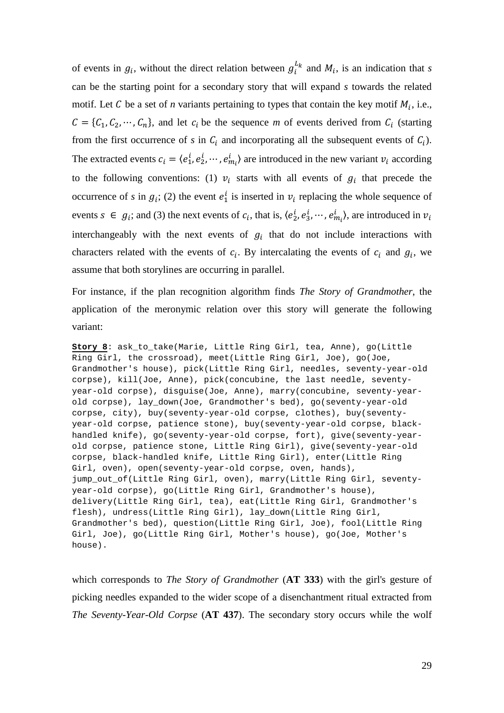of events in  $g_i$ , without the direct relation between  $g_i^{L_k}$  and  $M_i$ , is an indication that *s* can be the starting point for a secondary story that will expand *s* towards the related motif. Let C be a set of *n* variants pertaining to types that contain the key motif  $M_i$ , i.e.,  $C = \{C_1, C_2, \dots, C_n\}$ , and let  $c_i$  be the sequence *m* of events derived from  $C_i$  (starting from the first occurrence of *s* in  $C_i$  and incorporating all the subsequent events of  $C_i$ ). The extracted events  $c_i = \langle e_1^i, e_2^i, \dots, e_{m_i}^i \rangle$  are introduced in the new variant  $v_i$  according to the following conventions: (1)  $v_i$  starts with all events of  $g_i$  that precede the occurrence of *s* in  $g_i$ ; (2) the event  $e_1^i$  is inserted in  $v_i$  replacing the whole sequence of events  $s \in g_i$ ; and (3) the next events of  $c_i$ , that is,  $\langle e_2^l, e_3^l, \dots, e_{m_i}^l \rangle$ , are introduced in  $v_i$ interchangeably with the next events of  $g_i$  that do not include interactions with characters related with the events of  $c_i$ . By intercalating the events of  $c_i$  and  $g_i$ , we assume that both storylines are occurring in parallel.

For instance, if the plan recognition algorithm finds *The Story of Grandmother*, the application of the meronymic relation over this story will generate the following variant:

**Story 8**: ask\_to\_take(Marie, Little Ring Girl, tea, Anne), go(Little Ring Girl, the crossroad), meet(Little Ring Girl, Joe), go(Joe, Grandmother's house), pick(Little Ring Girl, needles, seventy-year-old corpse), kill(Joe, Anne), pick(concubine, the last needle, seventyyear-old corpse), disguise(Joe, Anne), marry(concubine, seventy-yearold corpse), lay\_down(Joe, Grandmother's bed), go(seventy-year-old corpse, city), buy(seventy-year-old corpse, clothes), buy(seventyyear-old corpse, patience stone), buy(seventy-year-old corpse, blackhandled knife), go(seventy-year-old corpse, fort), give(seventy-yearold corpse, patience stone, Little Ring Girl), give(seventy-year-old corpse, black-handled knife, Little Ring Girl), enter(Little Ring Girl, oven), open(seventy-year-old corpse, oven, hands), jump\_out\_of(Little Ring Girl, oven), marry(Little Ring Girl, seventyyear-old corpse), go(Little Ring Girl, Grandmother's house), delivery(Little Ring Girl, tea), eat(Little Ring Girl, Grandmother's flesh), undress(Little Ring Girl), lay\_down(Little Ring Girl, Grandmother's bed), question(Little Ring Girl, Joe), fool(Little Ring Girl, Joe), go(Little Ring Girl, Mother's house), go(Joe, Mother's house).

which corresponds to *The Story of Grandmother* (**AT 333**) with the girl's gesture of picking needles expanded to the wider scope of a disenchantment ritual extracted from *The Seventy-Year-Old Corpse* (**AT 437**). The secondary story occurs while the wolf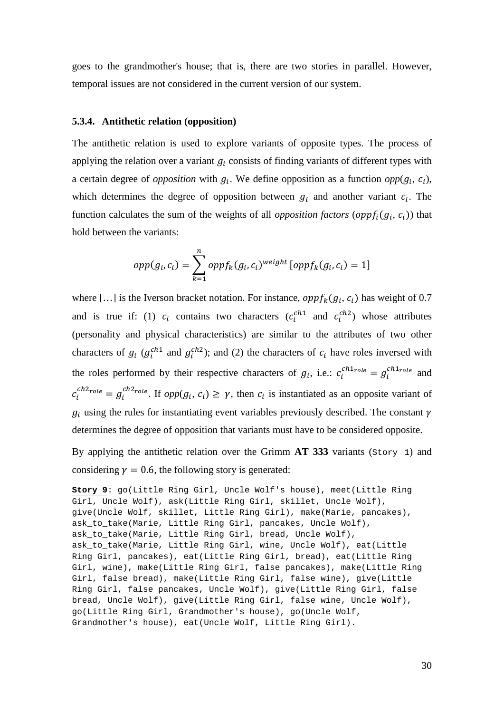goes to the grandmother's house; that is, there are two stories in parallel. However, temporal issues are not considered in the current version of our system.

### **5.3.4. Antithetic relation (opposition)**

The antithetic relation is used to explore variants of opposite types. The process of applying the relation over a variant  $q_i$  consists of finding variants of different types with a certain degree of *opposition* with  $g_i$ . We define opposition as a function  $opp(g_i, c_i)$ , which determines the degree of opposition between  $g_i$  and another variant  $c_i$ . The function calculates the sum of the weights of all *opposition factors* ( $oppf<sub>i</sub>(g<sub>i</sub>, c<sub>i</sub>)$ ) that hold between the variants:

$$
opp(g_i, c_i) = \sum_{k=1}^{n} oppf_k(g_i, c_i)^{weight} [oppf_k(g_i, c_i) = 1]
$$

where [...] is the Iverson bracket notation. For instance,  $opp f_k(g_i, c_i)$  has weight of 0.7 and is true if: (1)  $c_i$  contains two characters  $(c_i^{ch1}$  and  $c_i^{ch2})$  whose attributes (personality and physical characteristics) are similar to the attributes of two other characters of  $g_i$  ( $g_i^{ch1}$  and  $g_i^{ch2}$ ); and (2) the characters of  $c_i$  have roles inversed with the roles performed by their respective characters of  $g_i$ , i.e.:  $c_i^{ch1role} = g_i^{ch1role}$  and  $\epsilon_i^{c_1/2_{role}} = g_i^{c_1/2_{role}}$ . If  $opp(g_i, c_i) \ge \gamma$ , then  $c_i$  is instantiated as an opposite variant of  $q_i$  using the rules for instantiating event variables previously described. The constant  $\gamma$ determines the degree of opposition that variants must have to be considered opposite.

By applying the antithetic relation over the Grimm **AT 333** variants (Story 1) and considering  $\gamma = 0.6$ , the following story is generated:

**Story 9**: go(Little Ring Girl, Uncle Wolf's house), meet(Little Ring Girl, Uncle Wolf), ask(Little Ring Girl, skillet, Uncle Wolf), give(Uncle Wolf, skillet, Little Ring Girl), make(Marie, pancakes), ask\_to\_take(Marie, Little Ring Girl, pancakes, Uncle Wolf), ask to take(Marie, Little Ring Girl, bread, Uncle Wolf), ask\_to\_take(Marie, Little Ring Girl, wine, Uncle Wolf), eat(Little Ring Girl, pancakes), eat(Little Ring Girl, bread), eat(Little Ring Girl, wine), make(Little Ring Girl, false pancakes), make(Little Ring Girl, false bread), make(Little Ring Girl, false wine), give(Little Ring Girl, false pancakes, Uncle Wolf), give(Little Ring Girl, false bread, Uncle Wolf), give(Little Ring Girl, false wine, Uncle Wolf), go(Little Ring Girl, Grandmother's house), go(Uncle Wolf, Grandmother's house), eat(Uncle Wolf, Little Ring Girl).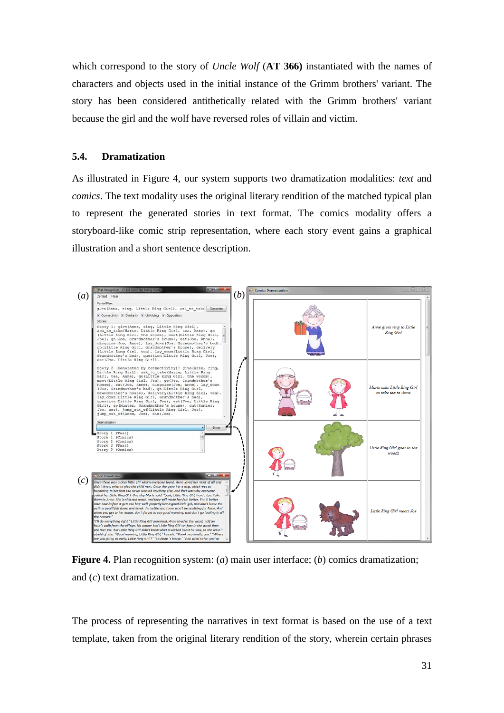which correspond to the story of *Uncle Wolf* (**AT 366)** instantiated with the names of characters and objects used in the initial instance of the Grimm brothers' variant. The story has been considered antithetically related with the Grimm brothers' variant because the girl and the wolf have reversed roles of villain and victim.

# **5.4. Dramatization**

As illustrated in Figure 4, our system supports two dramatization modalities: *text* and *comics*. The text modality uses the original literary rendition of the matched typical plan to represent the generated stories in text format. The comics modality offers a storyboard-like comic strip representation, where each story event gains a graphical illustration and a short sentence description.



**Figure 4.** Plan recognition system: (*a*) main user interface; (*b*) comics dramatization; and (*c*) text dramatization.

The process of representing the narratives in text format is based on the use of a text template, taken from the original literary rendition of the story, wherein certain phrases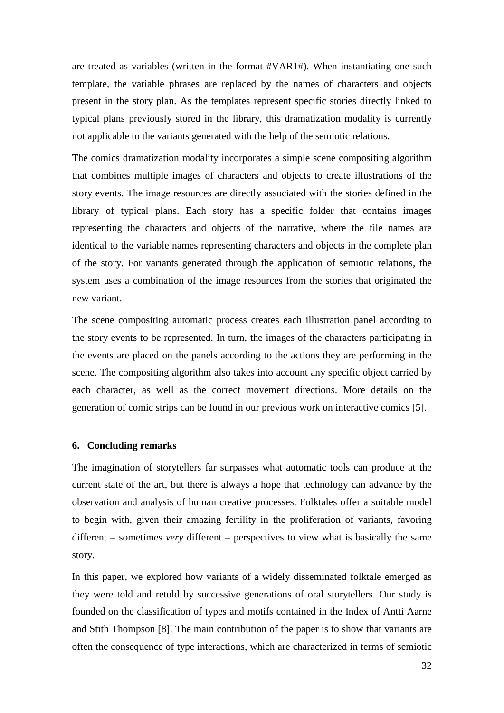are treated as variables (written in the format #VAR1#). When instantiating one such template, the variable phrases are replaced by the names of characters and objects present in the story plan. As the templates represent specific stories directly linked to typical plans previously stored in the library, this dramatization modality is currently not applicable to the variants generated with the help of the semiotic relations.

The comics dramatization modality incorporates a simple scene compositing algorithm that combines multiple images of characters and objects to create illustrations of the story events. The image resources are directly associated with the stories defined in the library of typical plans. Each story has a specific folder that contains images representing the characters and objects of the narrative, where the file names are identical to the variable names representing characters and objects in the complete plan of the story. For variants generated through the application of semiotic relations, the system uses a combination of the image resources from the stories that originated the new variant.

The scene compositing automatic process creates each illustration panel according to the story events to be represented. In turn, the images of the characters participating in the events are placed on the panels according to the actions they are performing in the scene. The compositing algorithm also takes into account any specific object carried by each character, as well as the correct movement directions. More details on the generation of comic strips can be found in our previous work on interactive comics [\[5\].](#page-33-0)

# **6. Concluding remarks**

The imagination of storytellers far surpasses what automatic tools can produce at the current state of the art, but there is always a hope that technology can advance by the observation and analysis of human creative processes. Folktales offer a suitable model to begin with, given their amazing fertility in the proliferation of variants, favoring different – sometimes *very* different – perspectives to view what is basically the same story.

In this paper, we explored how variants of a widely disseminated folktale emerged as they were told and retold by successive generations of oral storytellers. Our study is founded on the classification of types and motifs contained in the Index of Antti Aarne and Stith Thompson [\[8\].](#page-33-3) The main contribution of the paper is to show that variants are often the consequence of type interactions, which are characterized in terms of semiotic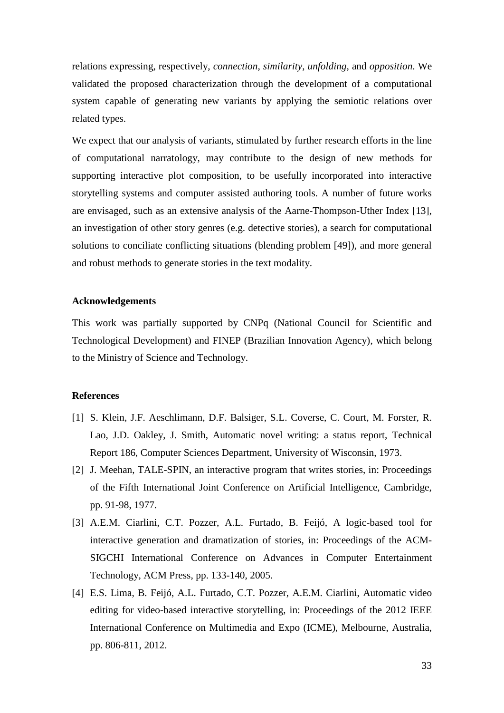relations expressing, respectively, *connection*, *similarity*, *unfolding*, and *opposition*. We validated the proposed characterization through the development of a computational system capable of generating new variants by applying the semiotic relations over related types.

We expect that our analysis of variants, stimulated by further research efforts in the line of computational narratology, may contribute to the design of new methods for supporting interactive plot composition, to be usefully incorporated into interactive storytelling systems and computer assisted authoring tools. A number of future works are envisaged, such as an extensive analysis of the Aarne-Thompson-Uther Index [\[13\],](#page-33-13) an investigation of other story genres (e.g. detective stories), a search for computational solutions to conciliate conflicting situations (blending problem [49]), and more general and robust methods to generate stories in the text modality.

# **Acknowledgements**

This work was partially supported by CNPq (National Council for Scientific and Technological Development) and FINEP (Brazilian Innovation Agency), which belong to the Ministry of Science and Technology.

# **References**

- <span id="page-32-0"></span>[1] S. Klein, J.F. Aeschlimann, D.F. Balsiger, S.L. Coverse, C. Court, M. Forster, R. Lao, J.D. Oakley, J. Smith, Automatic novel writing: a status report, Technical Report 186, Computer Sciences Department, University of Wisconsin, 1973.
- <span id="page-32-1"></span>[2] J. Meehan, TALE-SPIN, an interactive program that writes stories, in: Proceedings of the Fifth International Joint Conference on Artificial Intelligence, Cambridge, pp. 91-98, 1977.
- <span id="page-32-2"></span>[3] A.E.M. Ciarlini, C.T. Pozzer, A.L. Furtado, B. Feijó, A logic-based tool for interactive generation and dramatization of stories, in: Proceedings of the ACM-SIGCHI International Conference on Advances in Computer Entertainment Technology, ACM Press, pp. 133-140, 2005.
- <span id="page-32-3"></span>[4] E.S. Lima, B. Feijó, A.L. Furtado, C.T. Pozzer, A.E.M. Ciarlini, Automatic video editing for video-based interactive storytelling, in: Proceedings of the 2012 IEEE International Conference on Multimedia and Expo (ICME), Melbourne, Australia, pp. 806-811, 2012.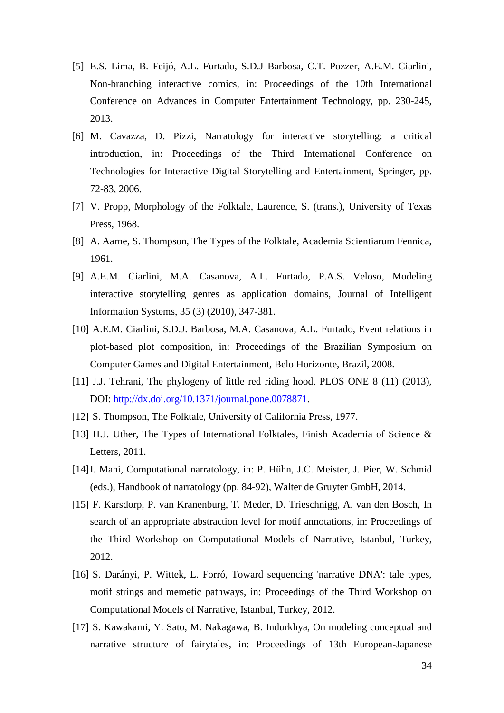- <span id="page-33-0"></span>[5] E.S. Lima, B. Feijó, A.L. Furtado, S.D.J Barbosa, C.T. Pozzer, A.E.M. Ciarlini, Non-branching interactive comics, in: Proceedings of the 10th International Conference on Advances in Computer Entertainment Technology, pp. 230-245, 2013.
- <span id="page-33-1"></span>[6] M. Cavazza, D. Pizzi, Narratology for interactive storytelling: a critical introduction, in: Proceedings of the Third International Conference on Technologies for Interactive Digital Storytelling and Entertainment, Springer, pp. 72-83, 2006.
- <span id="page-33-2"></span>[7] V. Propp, Morphology of the Folktale, Laurence, S. (trans.), University of Texas Press, 1968.
- <span id="page-33-3"></span>[8] A. Aarne, S. Thompson, The Types of the Folktale, Academia Scientiarum Fennica, 1961.
- <span id="page-33-4"></span>[9] A.E.M. Ciarlini, M.A. Casanova, A.L. Furtado, P.A.S. Veloso, Modeling interactive storytelling genres as application domains, Journal of Intelligent Information Systems, 35 (3) (2010), 347-381.
- <span id="page-33-5"></span>[10] A.E.M. Ciarlini, S.D.J. Barbosa, M.A. Casanova, A.L. Furtado, Event relations in plot-based plot composition, in: Proceedings of the Brazilian Symposium on Computer Games and Digital Entertainment, Belo Horizonte, Brazil, 2008.
- <span id="page-33-6"></span>[11] J.J. Tehrani, The phylogeny of little red riding hood, PLOS ONE 8 (11) (2013), DOI: [http://dx.doi.org/10.1371/journal.pone.0078871.](http://dx.doi.org/10.1371/journal.pone.0078871)
- <span id="page-33-7"></span>[12] S. Thompson, The Folktale, University of California Press, 1977.
- <span id="page-33-13"></span><span id="page-33-8"></span>[13] H.J. Uther, The Types of International Folktales, Finish Academia of Science & Letters, 2011.
- <span id="page-33-9"></span>[14]I. Mani, Computational narratology, in: P. Hühn, J.C. Meister, J. Pier, W. Schmid (eds.), Handbook of narratology (pp. 84-92), Walter de Gruyter GmbH, 2014.
- <span id="page-33-10"></span>[15] F. Karsdorp, P. van Kranenburg, T. Meder, D. Trieschnigg, A. van den Bosch, In search of an appropriate abstraction level for motif annotations, in: Proceedings of the Third Workshop on Computational Models of Narrative, Istanbul, Turkey, 2012.
- <span id="page-33-11"></span>[16] S. Darányi, P. Wittek, L. Forró, Toward sequencing 'narrative DNA': tale types, motif strings and memetic pathways, in: Proceedings of the Third Workshop on Computational Models of Narrative, Istanbul, Turkey, 2012.
- <span id="page-33-12"></span>[17] S. Kawakami, Y. Sato, M. Nakagawa, B. Indurkhya, On modeling conceptual and narrative structure of fairytales, in: Proceedings of 13th European-Japanese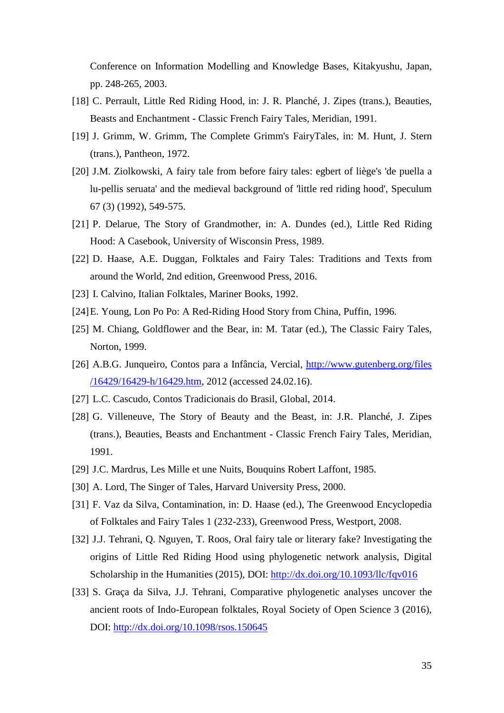Conference on Information Modelling and Knowledge Bases, Kitakyushu, Japan, pp. 248-265, 2003.

- <span id="page-34-0"></span>[18] C. Perrault, Little Red Riding Hood, in: J. R. Planché, J. Zipes (trans.), Beauties, Beasts and Enchantment - Classic French Fairy Tales, Meridian, 1991.
- <span id="page-34-1"></span>[19] J. Grimm, W. Grimm, The Complete Grimm's FairyTales, in: M. Hunt, J. Stern (trans.), Pantheon, 1972.
- <span id="page-34-2"></span>[20] J.M. Ziolkowski, A fairy tale from before fairy tales: egbert of liège's 'de puella a lu-pellis seruata' and the medieval background of 'little red riding hood', Speculum 67 (3) (1992), 549-575.
- <span id="page-34-3"></span>[21] P. Delarue, The Story of Grandmother, in: A. Dundes (ed.), Little Red Riding Hood: A Casebook, University of Wisconsin Press, 1989.
- <span id="page-34-14"></span>[22] D. Haase, A.E. Duggan, Folktales and Fairy Tales: Traditions and Texts from around the World, 2nd edition, Greenwood Press, 2016.
- <span id="page-34-4"></span>[23] I. Calvino, Italian Folktales, Mariner Books, 1992.
- <span id="page-34-5"></span>[24]E. Young, Lon Po Po: A Red-Riding Hood Story from China, Puffin, 1996.
- <span id="page-34-6"></span>[25] M. Chiang, Goldflower and the Bear, in: M. Tatar (ed.), The Classic Fairy Tales, Norton, 1999.
- <span id="page-34-7"></span>[26] A.B.G. Junqueiro, Contos para a Infância, Vercial, [http://www.gutenberg.org/files](http://www.gutenberg.org/files%20/16429/16429-h/16429.htm)  [/16429/16429-h/16429.htm,](http://www.gutenberg.org/files%20/16429/16429-h/16429.htm) 2012 (accessed 24.02.16).
- <span id="page-34-8"></span>[27] L.C. Cascudo, Contos Tradicionais do Brasil, Global, 2014.
- <span id="page-34-9"></span>[28] G. Villeneuve, The Story of Beauty and the Beast, in: J.R. Planché, J. Zipes (trans.), Beauties, Beasts and Enchantment - Classic French Fairy Tales, Meridian, 1991.
- <span id="page-34-10"></span>[29] J.C. Mardrus, Les Mille et une Nuits, Bouquins Robert Laffont, 1985.
- [30] A. Lord, The Singer of Tales, Harvard University Press, 2000.
- <span id="page-34-11"></span>[31] F. Vaz da Silva, Contamination, in: D. Haase (ed.), The Greenwood Encyclopedia of Folktales and Fairy Tales 1 (232-233), Greenwood Press, Westport, 2008.
- <span id="page-34-12"></span>[32] J.J. Tehrani, Q. Nguyen, T. Roos, Oral fairy tale or literary fake? Investigating the origins of Little Red Riding Hood using phylogenetic network analysis, Digital Scholarship in the Humanities (2015), DOI:<http://dx.doi.org/10.1093/llc/fqv016>
- <span id="page-34-13"></span>[33] S. Graça da Silva, J.J. Tehrani, Comparative phylogenetic analyses uncover the ancient roots of Indo-European folktales, Royal Society of Open Science 3 (2016), DOI:<http://dx.doi.org/10.1098/rsos.150645>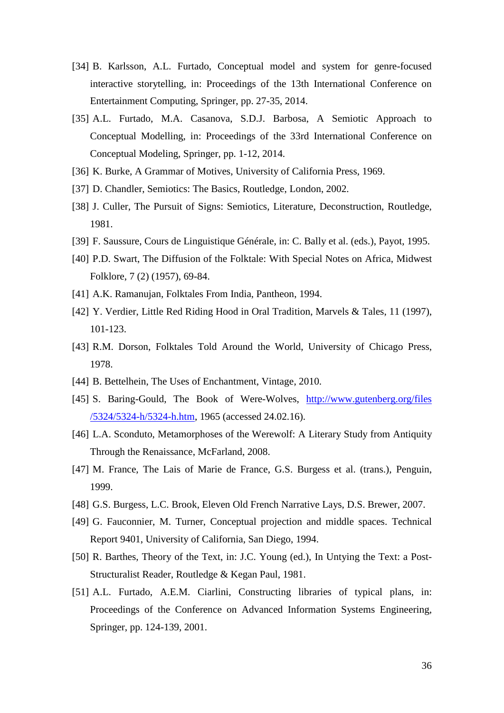- <span id="page-35-0"></span>[34] B. Karlsson, A.L. Furtado, Conceptual model and system for genre-focused interactive storytelling, in: Proceedings of the 13th International Conference on Entertainment Computing, Springer, pp. 27-35, 2014.
- <span id="page-35-1"></span>[35] A.L. Furtado, M.A. Casanova, S.D.J. Barbosa, A Semiotic Approach to Conceptual Modelling, in: Proceedings of the 33rd International Conference on Conceptual Modeling, Springer, pp. 1-12, 2014.
- <span id="page-35-2"></span>[36] K. Burke, A Grammar of Motives, University of California Press, 1969.
- <span id="page-35-3"></span>[37] D. Chandler, Semiotics: The Basics, Routledge, London, 2002.
- [38] J. Culler, The Pursuit of Signs: Semiotics, Literature, Deconstruction, Routledge, 1981.
- <span id="page-35-4"></span>[39] F. Saussure, Cours de Linguistique Générale, in: C. Bally et al. (eds.), Payot, 1995.
- <span id="page-35-5"></span>[40] P.D. Swart, The Diffusion of the Folktale: With Special Notes on Africa, Midwest Folklore, 7 (2) (1957), 69-84.
- <span id="page-35-6"></span>[41] A.K. Ramanujan, Folktales From India, Pantheon, 1994.
- <span id="page-35-7"></span>[42] Y. Verdier, Little Red Riding Hood in Oral Tradition, Marvels & Tales, 11 (1997), 101-123.
- <span id="page-35-8"></span>[43] R.M. Dorson, Folktales Told Around the World, University of Chicago Press, 1978.
- [44] B. Bettelhein, The Uses of Enchantment, Vintage, 2010.
- <span id="page-35-9"></span>[45] S. Baring-Gould, The Book of Were-Wolves, [http://www.gutenberg.org/files](http://www.gutenberg.org/files%20/5324/5324-h/5324-h.htm)  [/5324/5324-h/5324-h.htm,](http://www.gutenberg.org/files%20/5324/5324-h/5324-h.htm) 1965 (accessed 24.02.16).
- <span id="page-35-10"></span>[46] L.A. Sconduto, Metamorphoses of the Werewolf: A Literary Study from Antiquity Through the Renaissance, McFarland, 2008.
- <span id="page-35-11"></span>[47] M. France, The Lais of Marie de France, G.S. Burgess et al. (trans.), Penguin, 1999.
- <span id="page-35-12"></span>[48] G.S. Burgess, L.C. Brook, Eleven Old French Narrative Lays, D.S. Brewer, 2007.
- <span id="page-35-13"></span>[49] G. Fauconnier, M. Turner, Conceptual projection and middle spaces. Technical Report 9401, University of California, San Diego, 1994.
- [50] R. Barthes, Theory of the Text, in: J.C. Young (ed.), In Untying the Text: a Post-Structuralist Reader, Routledge & Kegan Paul, 1981.
- <span id="page-35-14"></span>[51] A.L. Furtado, A.E.M. Ciarlini, Constructing libraries of typical plans, in: Proceedings of the Conference on Advanced Information Systems Engineering, Springer, pp. 124-139, 2001.